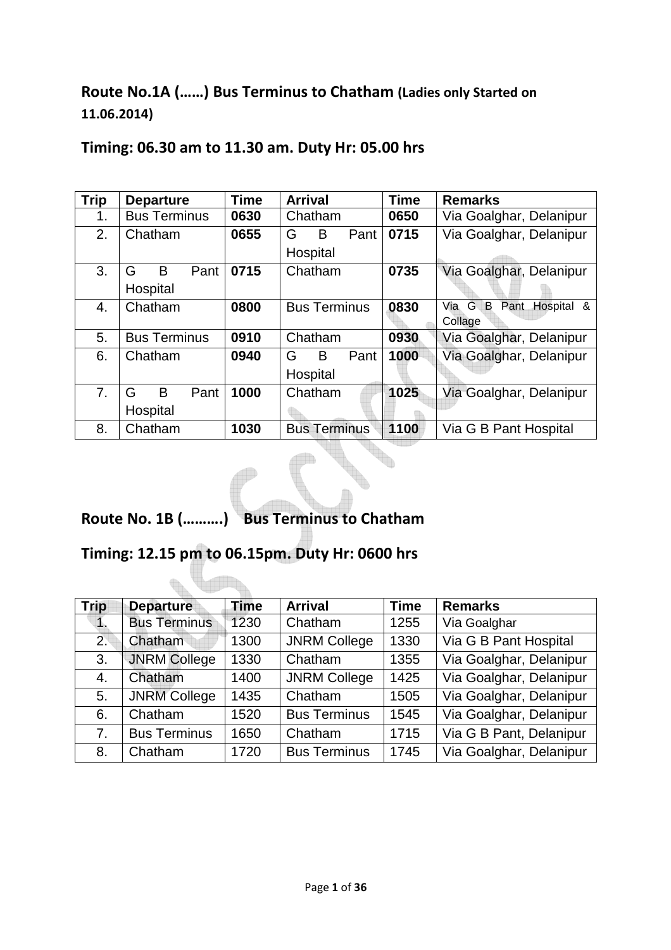## **Route No.1A (……) Bus Terminus to Chatham (Ladies only Started on 11.06.2014)**

| <b>Trip</b> | <b>Departure</b>    | <b>Time</b> | <b>Arrival</b>      | <b>Time</b> | <b>Remarks</b>                         |
|-------------|---------------------|-------------|---------------------|-------------|----------------------------------------|
| 1.          | <b>Bus Terminus</b> | 0630        | Chatham             | 0650        | Via Goalghar, Delanipur                |
| 2.          | Chatham             | 0655        | Pant<br>G<br>B      | 0715        | Via Goalghar, Delanipur                |
|             |                     |             | Hospital            |             |                                        |
| 3.          | B<br>Pant<br>G      | 0715        | Chatham             | 0735        | Via Goalghar, Delanipur                |
|             | Hospital            |             |                     |             |                                        |
| 4.          | Chatham             | 0800        | <b>Bus Terminus</b> | 0830        | G<br>В<br>Pant<br>Hospital<br>Via<br>& |
|             |                     |             |                     |             | Collage                                |
| 5.          | <b>Bus Terminus</b> | 0910        | Chatham             | 0930        | Via Goalghar, Delanipur                |
| 6.          | Chatham             | 0940        | Pant<br>G<br>B      | 1000        | Via Goalghar, Delanipur                |
|             |                     |             | Hospital            |             |                                        |
| 7.          | B<br>Pant<br>G      | 1000        | Chatham             | 1025        | Via Goalghar, Delanipur                |
|             | Hospital            |             |                     |             |                                        |
| 8.          | Chatham             | 1030        | <b>Bus Terminus</b> | 1100        | Via G B Pant Hospital                  |

### **Timing: 06.30 am to 11.30 am. Duty Hr: 05.00 hrs**

## **Route No. 1B (……….) Bus Terminus to Chatham**

## **Timing: 12.15 pm to 06.15pm. Duty Hr: 0600 hrs**

**VARA** 

 $\begin{picture}(20,20) \put(0,0){\line(1,0){10}} \put(15,0){\line(1,0){10}} \put(15,0){\line(1,0){10}} \put(15,0){\line(1,0){10}} \put(15,0){\line(1,0){10}} \put(15,0){\line(1,0){10}} \put(15,0){\line(1,0){10}} \put(15,0){\line(1,0){10}} \put(15,0){\line(1,0){10}} \put(15,0){\line(1,0){10}} \put(15,0){\line(1,0){10}} \put(15,0){\line(1$ 

| <b>Trip</b> | <b>Departure</b>    | <b>Time</b> | <b>Arrival</b>      | <b>Time</b> | <b>Remarks</b>          |
|-------------|---------------------|-------------|---------------------|-------------|-------------------------|
|             | <b>Bus Terminus</b> | 1230        | Chatham             | 1255        | Via Goalghar            |
| 2.          | Chatham             | 1300        | <b>JNRM College</b> | 1330        | Via G B Pant Hospital   |
| 3.          | <b>JNRM College</b> | 1330        | Chatham             | 1355        | Via Goalghar, Delanipur |
| 4.          | Chatham             | 1400        | <b>JNRM College</b> | 1425        | Via Goalghar, Delanipur |
| 5.          | <b>JNRM College</b> | 1435        | Chatham             | 1505        | Via Goalghar, Delanipur |
| 6.          | Chatham             | 1520        | <b>Bus Terminus</b> | 1545        | Via Goalghar, Delanipur |
| 7.          | <b>Bus Terminus</b> | 1650        | Chatham             | 1715        | Via G B Pant, Delanipur |
| 8.          | Chatham             | 1720        | <b>Bus Terminus</b> | 1745        | Via Goalghar, Delanipur |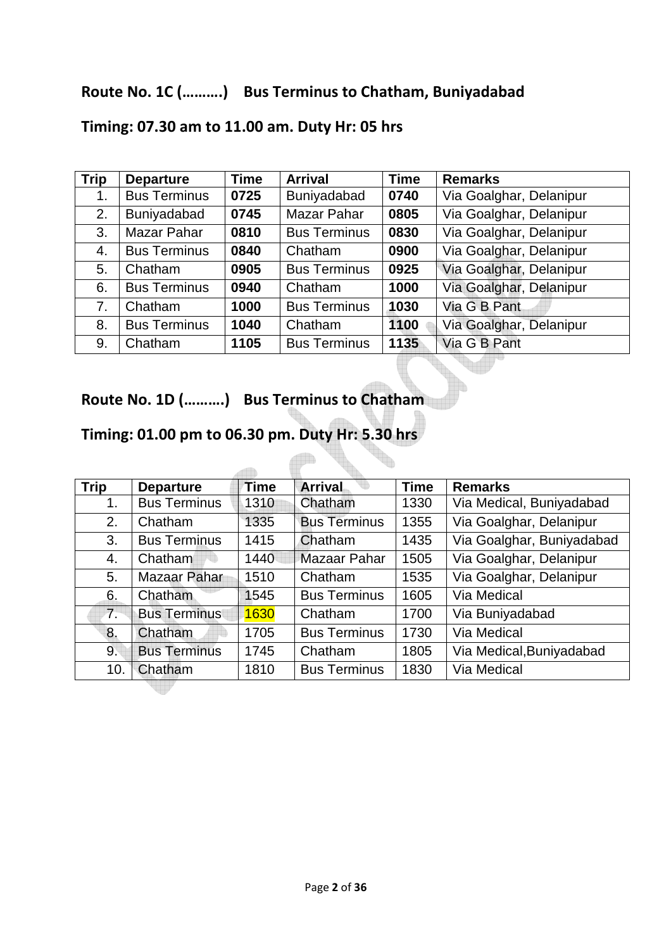## **Route No. 1C (……….) Bus Terminus to Chatham, Buniyadabad**

| <b>Trip</b> | <b>Departure</b>    | <b>Time</b> | <b>Arrival</b>      | <b>Time</b> | <b>Remarks</b>          |
|-------------|---------------------|-------------|---------------------|-------------|-------------------------|
| 1.          | <b>Bus Terminus</b> | 0725        | Buniyadabad         | 0740        | Via Goalghar, Delanipur |
| 2.          | Buniyadabad         | 0745        | <b>Mazar Pahar</b>  | 0805        | Via Goalghar, Delanipur |
| 3.          | Mazar Pahar         | 0810        | <b>Bus Terminus</b> | 0830        | Via Goalghar, Delanipur |
| 4.          | <b>Bus Terminus</b> | 0840        | Chatham             | 0900        | Via Goalghar, Delanipur |
| 5.          | Chatham             | 0905        | <b>Bus Terminus</b> | 0925        | Via Goalghar, Delanipur |
| 6.          | <b>Bus Terminus</b> | 0940        | Chatham             | 1000        | Via Goalghar, Delanipur |
| 7.          | Chatham             | 1000        | <b>Bus Terminus</b> | 1030        | Via G B Pant            |
| 8.          | <b>Bus Terminus</b> | 1040        | Chatham             | 1100        | Via Goalghar, Delanipur |
| 9.          | Chatham             | 1105        | <b>Bus Terminus</b> | 1135        | Via G B Pant            |

## **Timing: 07.30 am to 11.00 am. Duty Hr: 05 hrs**

**Route No. 1D (……….) Bus Terminus to Chatham** 

## **Timing: 01.00 pm to 06.30 pm. Duty Hr: 5.30 hrs**

| <b>Trip</b>    | <b>Departure</b>    | Time | <b>Arrival</b>      | <b>Time</b> | <b>Remarks</b>            |
|----------------|---------------------|------|---------------------|-------------|---------------------------|
| 1.             | <b>Bus Terminus</b> | 1310 | Chatham             | 1330        | Via Medical, Buniyadabad  |
| 2.             | Chatham             | 1335 | <b>Bus Terminus</b> | 1355        | Via Goalghar, Delanipur   |
| 3.             | <b>Bus Terminus</b> | 1415 | Chatham             | 1435        | Via Goalghar, Buniyadabad |
| 4.             | Chatham             | 1440 | <b>Mazaar Pahar</b> | 1505        | Via Goalghar, Delanipur   |
| 5.             | Mazaar Pahar        | 1510 | Chatham             | 1535        | Via Goalghar, Delanipur   |
| 6.             | Chatham             | 1545 | <b>Bus Terminus</b> | 1605        | Via Medical               |
| 7 <sub>1</sub> | <b>Bus Terminus</b> | 1630 | Chatham             | 1700        | Via Buniyadabad           |
| 8.             | Chatham             | 1705 | <b>Bus Terminus</b> | 1730        | Via Medical               |
| 9.             | <b>Bus Terminus</b> | 1745 | Chatham             | 1805        | Via Medical, Buniyadabad  |
| 10.            | Chatham             | 1810 | <b>Bus Terminus</b> | 1830        | Via Medical               |
|                |                     |      |                     |             |                           |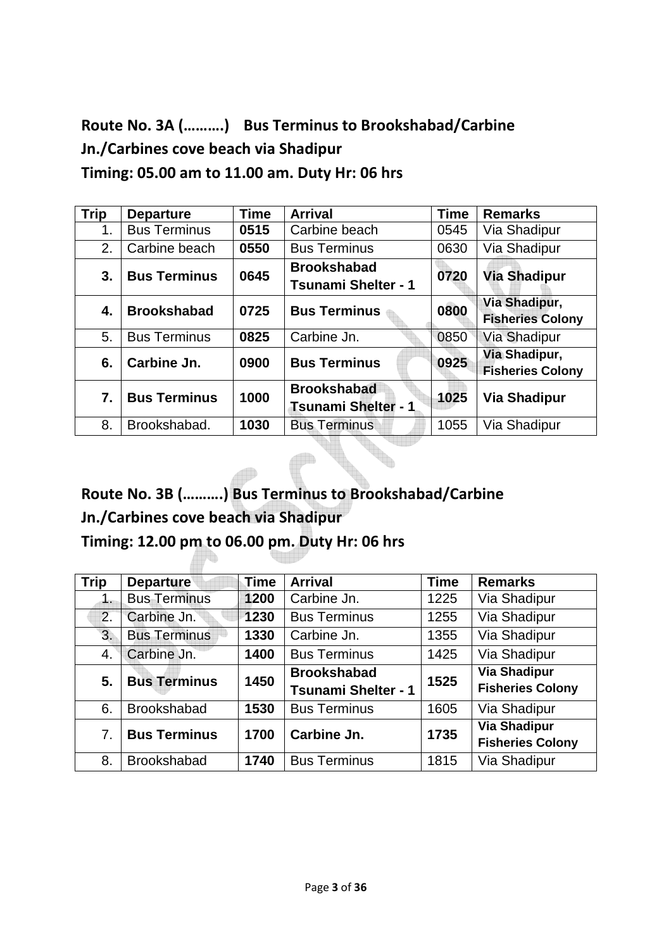**Route No. 3A (……….) Bus Terminus to Brookshabad/Carbine Jn./Carbines cove beach via Shadipur Timing: 05.00 am to 11.00 am. Duty Hr: 06 hrs** 

| <b>Trip</b> | <b>Departure</b>                                        | <b>Time</b>                | <b>Arrival</b>             | <b>Time</b> | <b>Remarks</b>          |
|-------------|---------------------------------------------------------|----------------------------|----------------------------|-------------|-------------------------|
| 1.          | <b>Bus Terminus</b>                                     | 0515                       | Carbine beach              | 0545        | Via Shadipur            |
| 2.          | Carbine beach                                           | 0550                       | <b>Bus Terminus</b>        | 0630        | Via Shadipur            |
| 3.          | <b>Bus Terminus</b>                                     | 0645                       | <b>Brookshabad</b>         | 0720        | <b>Via Shadipur</b>     |
|             |                                                         | <b>Tsunami Shelter - 1</b> |                            |             |                         |
|             | <b>Brookshabad</b><br>0725<br><b>Bus Terminus</b><br>4. | 0800                       | Via Shadipur,              |             |                         |
|             |                                                         |                            |                            |             | <b>Fisheries Colony</b> |
| 5.          | <b>Bus Terminus</b>                                     | 0825                       | Carbine Jn.                | 0850        | <b>Via Shadipur</b>     |
| 6.          | Carbine Jn.                                             | 0900                       | <b>Bus Terminus</b>        | 0925        | Via Shadipur,           |
|             |                                                         |                            |                            |             | <b>Fisheries Colony</b> |
| 7.          | <b>Bus Terminus</b>                                     | 1000                       | <b>Brookshabad</b>         | 1025        | <b>Via Shadipur</b>     |
|             |                                                         |                            | <b>Tsunami Shelter - 1</b> |             |                         |
| 8.          | Brookshabad.                                            | 1030                       | <b>Bus Terminus</b>        | 1055        | Via Shadipur            |

**Route No. 3B (……….) Bus Terminus to Brookshabad/Carbine Jn./Carbines cove beach via Shadipur Timing: 12.00 pm to 06.00 pm. Duty Hr: 06 hrs** 

| <b>Trip</b> | <b>Departure</b>    | Time | <b>Arrival</b>             | <b>Time</b> | <b>Remarks</b>          |
|-------------|---------------------|------|----------------------------|-------------|-------------------------|
| 1.          | <b>Bus Terminus</b> | 1200 | Carbine Jn.                | 1225        | Via Shadipur            |
| 2.          | Carbine Jn.         | 1230 | <b>Bus Terminus</b>        | 1255        | Via Shadipur            |
| 3.          | <b>Bus Terminus</b> | 1330 | Carbine Jn.                | 1355        | Via Shadipur            |
| 4.          | Carbine Jn.         | 1400 | <b>Bus Terminus</b>        | 1425        | Via Shadipur            |
| 5.          | <b>Bus Terminus</b> | 1450 | <b>Brookshabad</b>         | 1525        | <b>Via Shadipur</b>     |
|             |                     |      | <b>Tsunami Shelter - 1</b> |             | <b>Fisheries Colony</b> |
| 6.          | <b>Brookshabad</b>  | 1530 | <b>Bus Terminus</b>        | 1605        | Via Shadipur            |
| 7.          | <b>Bus Terminus</b> | 1700 | Carbine Jn.                | 1735        | <b>Via Shadipur</b>     |
|             |                     |      |                            |             | <b>Fisheries Colony</b> |
| 8.          | <b>Brookshabad</b>  | 1740 | <b>Bus Terminus</b>        | 1815        | Via Shadipur            |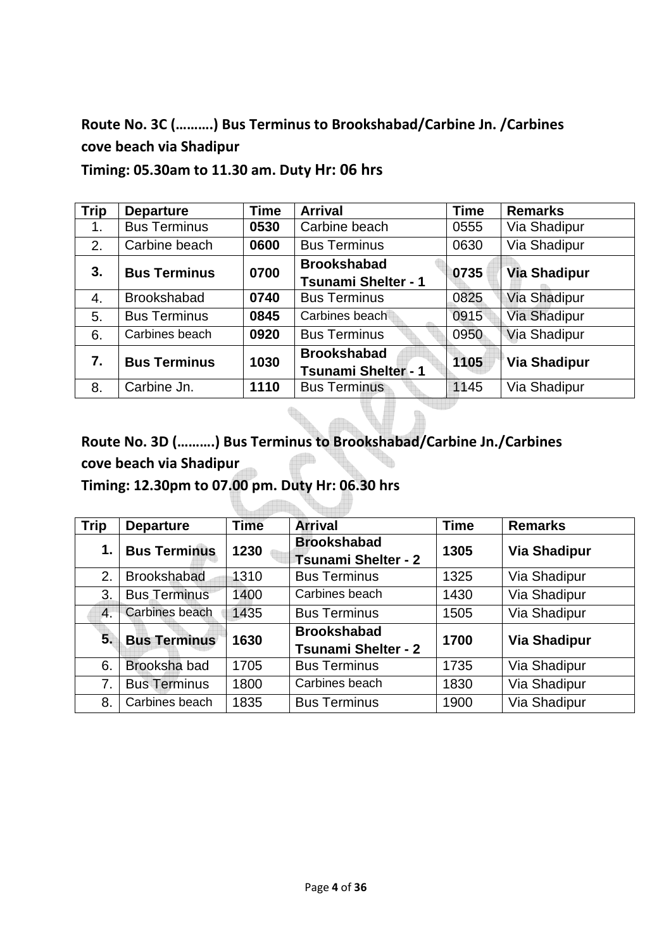# **Route No. 3C (……….) Bus Terminus to Brookshabad/Carbine Jn. /Carbines cove beach via Shadipur**

**Timing: 05.30am to 11.30 am. Duty Hr: 06 hrs** 

| <b>Trip</b> | <b>Departure</b>    | <b>Time</b> | <b>Arrival</b>             | <b>Time</b> | <b>Remarks</b>      |
|-------------|---------------------|-------------|----------------------------|-------------|---------------------|
| 1.          | <b>Bus Terminus</b> | 0530        | Carbine beach              | 0555        | Via Shadipur        |
| 2.          | Carbine beach       | 0600        | <b>Bus Terminus</b>        | 0630        | Via Shadipur        |
| 3.          | <b>Bus Terminus</b> | 0700        | <b>Brookshabad</b>         | 0735        | <b>Via Shadipur</b> |
|             |                     |             | <b>Tsunami Shelter - 1</b> |             |                     |
| 4.          | <b>Brookshabad</b>  | 0740        | <b>Bus Terminus</b>        | 0825        | Via Shadipur        |
| 5.          | <b>Bus Terminus</b> | 0845        | Carbines beach             | 0915        | <b>Via Shadipur</b> |
| 6.          | Carbines beach      | 0920        | <b>Bus Terminus</b>        | 0950        | Via Shadipur        |
| 7.          | <b>Bus Terminus</b> | 1030        | <b>Brookshabad</b>         | 1105        | Via Shadipur        |
|             |                     |             | <b>Tsunami Shelter - 1</b> |             |                     |
| 8.          | Carbine Jn.         | 1110        | <b>Bus Terminus</b>        | 1145        | Via Shadipur        |

**Route No. 3D (……….) Bus Terminus to Brookshabad/Carbine Jn./Carbines cove beach via Shadipur** 

 $\begin{matrix} \nabla \cdot \mathbf{1} & \mathbf{1} & \mathbf{1} & \mathbf{1} & \mathbf{1} & \mathbf{1} & \mathbf{1} & \mathbf{1} & \mathbf{1} & \mathbf{1} & \mathbf{1} & \mathbf{1} & \mathbf{1} & \mathbf{1} & \mathbf{1} & \mathbf{1} & \mathbf{1} & \mathbf{1} & \mathbf{1} & \mathbf{1} & \mathbf{1} & \mathbf{1} & \mathbf{1} & \mathbf{1} & \mathbf{1} & \mathbf{1} & \mathbf{1} & \mathbf{1} & \mathbf{1} & \mathbf{1}$ 

**Timing: 12.30pm to 07.00 pm. Duty Hr: 06.30 hrs** 

| <b>Trip</b>      | <b>Departure</b>    | <b>Time</b> | <b>Arrival</b>                                   | <b>Time</b> | <b>Remarks</b>      |
|------------------|---------------------|-------------|--------------------------------------------------|-------------|---------------------|
| 1.               | <b>Bus Terminus</b> | 1230        | <b>Brookshabad</b><br><b>Tsunami Shelter - 2</b> | 1305        | <b>Via Shadipur</b> |
| 2.               | <b>Brookshabad</b>  | 1310        | <b>Bus Terminus</b>                              | 1325        | Via Shadipur        |
| 3.               | <b>Bus Terminus</b> | 1400        | Carbines beach                                   | 1430        | Via Shadipur        |
| $\overline{4}$ . | Carbines beach      | 1435        | <b>Bus Terminus</b>                              | 1505        | Via Shadipur        |
| 5.               | <b>Bus Terminus</b> | 1630        | <b>Brookshabad</b><br><b>Tsunami Shelter - 2</b> | 1700        | <b>Via Shadipur</b> |
| 6.               | Brooksha bad        | 1705        | <b>Bus Terminus</b>                              | 1735        | Via Shadipur        |
| 7.               | <b>Bus Terminus</b> | 1800        | Carbines beach                                   | 1830        | Via Shadipur        |
| 8.               | Carbines beach      | 1835        | <b>Bus Terminus</b>                              | 1900        | Via Shadipur        |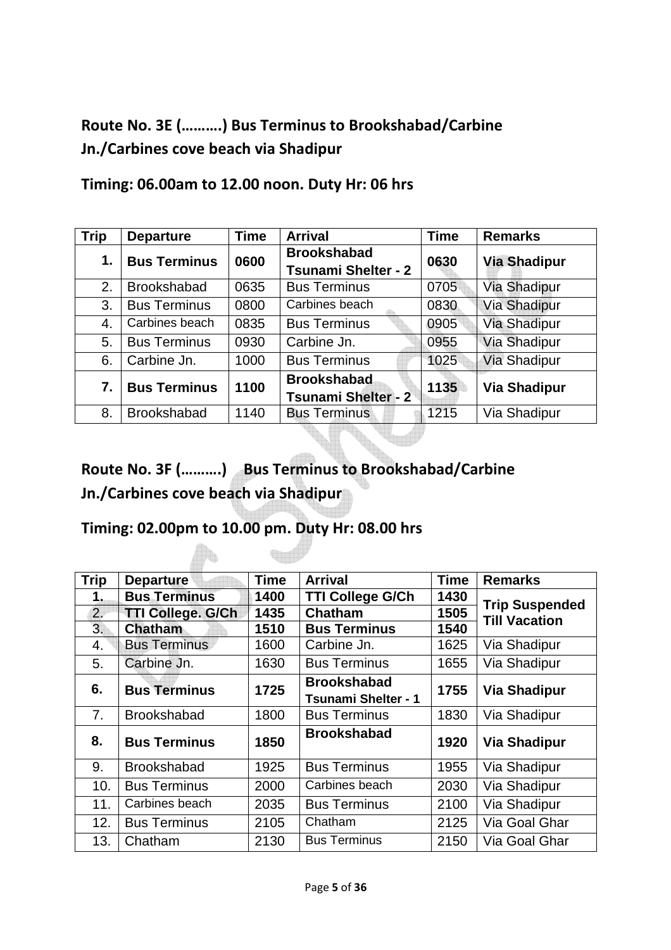# **Route No. 3E (……….) Bus Terminus to Brookshabad/Carbine Jn./Carbines cove beach via Shadipur**

| <b>Trip</b> | <b>Departure</b>    | <b>Time</b> | <b>Arrival</b>                                   | <b>Time</b> | <b>Remarks</b>      |
|-------------|---------------------|-------------|--------------------------------------------------|-------------|---------------------|
| 1.          | <b>Bus Terminus</b> | 0600        | <b>Brookshabad</b><br><b>Tsunami Shelter - 2</b> | 0630        | <b>Via Shadipur</b> |
| 2.          | <b>Brookshabad</b>  | 0635        | <b>Bus Terminus</b>                              | 0705        | <b>Via Shadipur</b> |
| 3.          | <b>Bus Terminus</b> | 0800        | Carbines beach                                   | 0830        | Via Shadipur        |
| 4.          | Carbines beach      | 0835        | <b>Bus Terminus</b>                              | 0905        | <b>Via Shadipur</b> |
| 5.          | <b>Bus Terminus</b> | 0930        | Carbine Jn.                                      | 0955        | <b>Via Shadipur</b> |
| 6.          | Carbine Jn.         | 1000        | <b>Bus Terminus</b>                              | 1025        | <b>Via Shadipur</b> |
| 7.          | <b>Bus Terminus</b> | 1100        | <b>Brookshabad</b><br><b>Tsunami Shelter - 2</b> | 1135        | <b>Via Shadipur</b> |
| 8.          | <b>Brookshabad</b>  | 1140        | <b>Bus Terminus</b>                              | 1215        | Via Shadipur        |

**Timing: 06.00am to 12.00 noon. Duty Hr: 06 hrs** 

# **Route No. 3F (……….) Bus Terminus to Brookshabad/Carbine Jn./Carbines cove beach via Shadipur**

T

### **Timing: 02.00pm to 10.00 pm. Duty Hr: 08.00 hrs**

| <b>Trip</b>    | <b>Departure</b>         | <b>Time</b> | <b>Arrival</b>                                   | <b>Time</b> | <b>Remarks</b>                                |
|----------------|--------------------------|-------------|--------------------------------------------------|-------------|-----------------------------------------------|
| 1.             | <b>Bus Terminus</b>      | 1400        | <b>TTI College G/Ch</b>                          | 1430        |                                               |
| 2.             | <b>TTI College. G/Ch</b> | 1435        | Chatham                                          | 1505        | <b>Trip Suspended</b><br><b>Till Vacation</b> |
| 3.             | <b>Chatham</b>           | 1510        | <b>Bus Terminus</b>                              | 1540        |                                               |
| 4.             | <b>Bus Terminus</b>      | 1600        | Carbine Jn.                                      | 1625        | Via Shadipur                                  |
| 5.             | Carbine Jn.              | 1630        | <b>Bus Terminus</b>                              | 1655        | Via Shadipur                                  |
| 6.             | <b>Bus Terminus</b>      | 1725        | <b>Brookshabad</b><br><b>Tsunami Shelter - 1</b> | 1755        | <b>Via Shadipur</b>                           |
| 7 <sub>1</sub> | <b>Brookshabad</b>       | 1800        | <b>Bus Terminus</b>                              | 1830        | Via Shadipur                                  |
| 8.             | <b>Bus Terminus</b>      | 1850        | <b>Brookshabad</b>                               | 1920        | <b>Via Shadipur</b>                           |
| 9.             | <b>Brookshabad</b>       | 1925        | <b>Bus Terminus</b>                              | 1955        | Via Shadipur                                  |
| 10.            | <b>Bus Terminus</b>      | 2000        | Carbines beach                                   | 2030        | Via Shadipur                                  |
| 11.            | Carbines beach           | 2035        | <b>Bus Terminus</b>                              | 2100        | Via Shadipur                                  |
| 12.            | <b>Bus Terminus</b>      | 2105        | Chatham                                          | 2125        | Via Goal Ghar                                 |
| 13.            | Chatham                  | 2130        | <b>Bus Terminus</b>                              | 2150        | Via Goal Ghar                                 |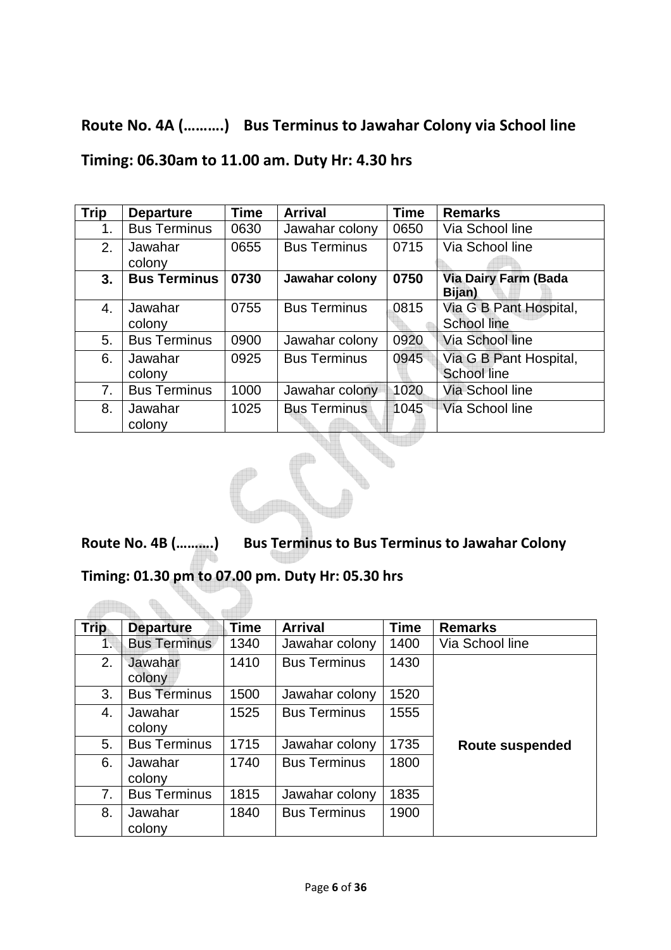## **Route No. 4A (……….) Bus Terminus to Jawahar Colony via School line**

**Timing: 06.30am to 11.00 am. Duty Hr: 4.30 hrs** 

| <b>Trip</b>    | <b>Departure</b>    | <b>Time</b> | <b>Arrival</b>      | <b>Time</b> | <b>Remarks</b>                               |
|----------------|---------------------|-------------|---------------------|-------------|----------------------------------------------|
| 1.             | <b>Bus Terminus</b> | 0630        | Jawahar colony      | 0650        | Via School line                              |
| 2.             | Jawahar<br>colony   | 0655        | <b>Bus Terminus</b> | 0715        | Via School line                              |
| 3.             | <b>Bus Terminus</b> | 0730        | Jawahar colony      | 0750        | <b>Via Dairy Farm (Bada</b><br>Bijan)        |
| 4.             | Jawahar<br>colony   | 0755        | <b>Bus Terminus</b> | 0815        | Via G B Pant Hospital,<br><b>School line</b> |
| 5.             | <b>Bus Terminus</b> | 0900        | Jawahar colony      | 0920        | Via School line                              |
| 6.             | Jawahar<br>colony   | 0925        | <b>Bus Terminus</b> | 0945        | Via G B Pant Hospital,<br><b>School line</b> |
| 7 <sub>1</sub> | <b>Bus Terminus</b> | 1000        | Jawahar colony      | 1020        | Via School line                              |
| 8.             | Jawahar<br>colony   | 1025        | <b>Bus Terminus</b> | 1045        | Via School line                              |

**Route No. 4B (……….) Bus Terminus to Bus Terminus to Jawahar Colony** 

## **Timing: 01.30 pm to 07.00 pm. Duty Hr: 05.30 hrs**

 $\bigoplus_{\alpha\in\mathbb{N}}\alpha$ 

| <b>Trip</b> | <b>Departure</b>    | <b>Time</b> | <b>Arrival</b>      | <b>Time</b> | <b>Remarks</b>         |
|-------------|---------------------|-------------|---------------------|-------------|------------------------|
| 1.          | <b>Bus Terminus</b> | 1340        | Jawahar colony      | 1400        | Via School line        |
| 2.          | Jawahar<br>colony   | 1410        | <b>Bus Terminus</b> | 1430        |                        |
| 3.          | <b>Bus Terminus</b> | 1500        | Jawahar colony      | 1520        |                        |
| 4.          | Jawahar<br>colony   | 1525        | <b>Bus Terminus</b> | 1555        |                        |
| 5.          | <b>Bus Terminus</b> | 1715        | Jawahar colony      | 1735        | <b>Route suspended</b> |
| 6.          | Jawahar<br>colony   | 1740        | <b>Bus Terminus</b> | 1800        |                        |
| 7.          | <b>Bus Terminus</b> | 1815        | Jawahar colony      | 1835        |                        |
| 8.          | Jawahar<br>colony   | 1840        | <b>Bus Terminus</b> | 1900        |                        |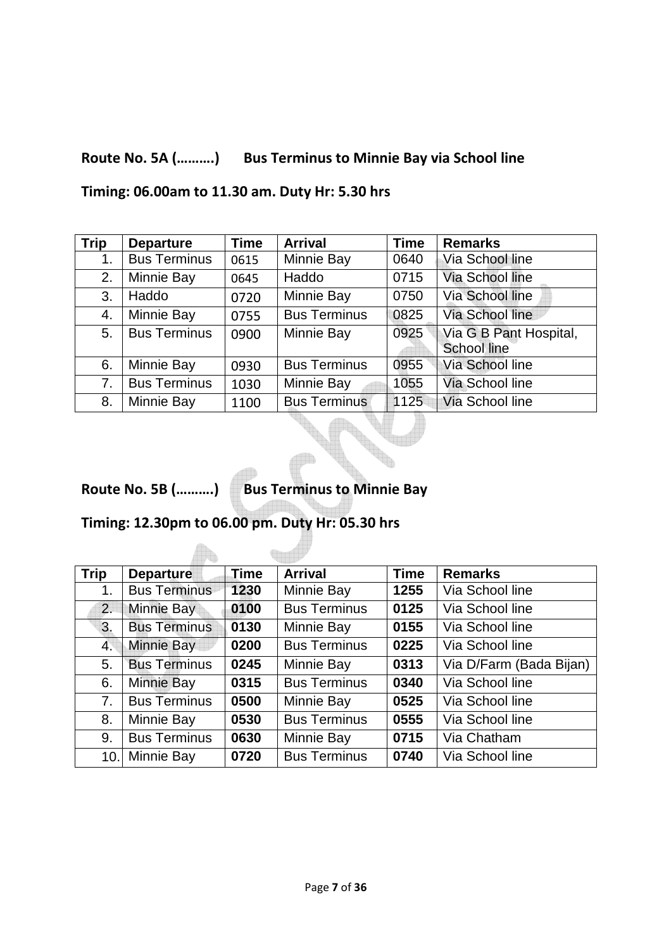## **Route No. 5A (……….) Bus Terminus to Minnie Bay via School line**

**Timing: 06.00am to 11.30 am. Duty Hr: 5.30 hrs** 

| <b>Trip</b> | <b>Departure</b>    | <b>Time</b> | <b>Arrival</b>      | <b>Time</b>             | <b>Remarks</b>                               |
|-------------|---------------------|-------------|---------------------|-------------------------|----------------------------------------------|
| 1.          | <b>Bus Terminus</b> | 0615        | Minnie Bay<br>0640  |                         | Via School line                              |
| 2.          | Minnie Bay          | 0645        | Haddo               | Via School line<br>0715 |                                              |
| 3.          | Haddo               | 0720        | Minnie Bay          | 0750                    | Via School line                              |
| 4.          | Minnie Bay          | 0755        | <b>Bus Terminus</b> | 0825                    | Via School line                              |
| 5.          | <b>Bus Terminus</b> | 0900        | Minnie Bay          | 0925                    | Via G B Pant Hospital,<br><b>School line</b> |
| 6.          | Minnie Bay          | 0930        | <b>Bus Terminus</b> | Via School line<br>0955 |                                              |
| 7.          | <b>Bus Terminus</b> | 1030        | Minnie Bay<br>1055  |                         | Via School line                              |
| 8.          | Minnie Bay          | 1100        | <b>Bus Terminus</b> | 1125                    | Via School line                              |

**Route No. 5B (……….) Bus Terminus to Minnie Bay** 

**Grad** 

**Timing: 12.30pm to 06.00 pm. Duty Hr: 05.30 hrs** 

 $\mathbb{A}$ 

| <b>Trip</b> | <b>Departure</b>    | Time | <b>Arrival</b>      | <b>Time</b>                     | <b>Remarks</b>  |  |
|-------------|---------------------|------|---------------------|---------------------------------|-----------------|--|
| 1.          | <b>Bus Terminus</b> | 1230 | Minnie Bay          | 1255                            | Via School line |  |
| 2.          | Minnie Bay          | 0100 | <b>Bus Terminus</b> | 0125                            | Via School line |  |
| 3.          | <b>Bus Terminus</b> | 0130 | Minnie Bay          | 0155<br>Via School line         |                 |  |
| 4.          | <b>Minnie Bay</b>   | 0200 | <b>Bus Terminus</b> | 0225<br>Via School line         |                 |  |
| 5.          | <b>Bus Terminus</b> | 0245 | Minnie Bay          | 0313<br>Via D/Farm (Bada Bijan) |                 |  |
| 6.          | <b>Minnie Bay</b>   | 0315 | <b>Bus Terminus</b> | 0340                            | Via School line |  |
| 7.          | <b>Bus Terminus</b> | 0500 | Minnie Bay          | 0525                            | Via School line |  |
| 8.          | Minnie Bay          | 0530 | <b>Bus Terminus</b> | 0555<br>Via School line         |                 |  |
| 9.          | <b>Bus Terminus</b> | 0630 | Minnie Bay          | 0715<br>Via Chatham             |                 |  |
| 10.         | Minnie Bay          | 0720 | <b>Bus Terminus</b> | 0740<br>Via School line         |                 |  |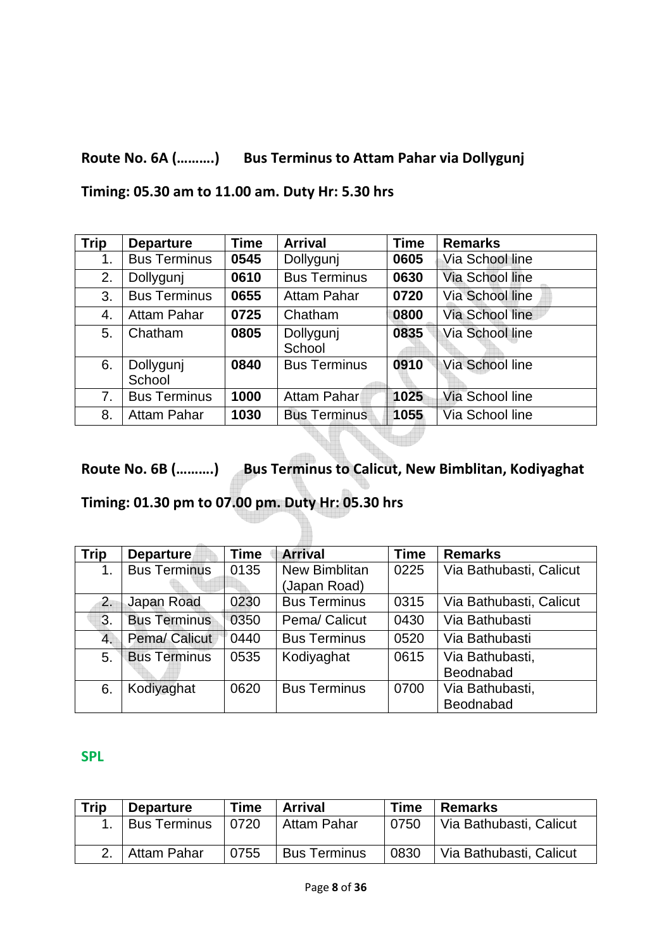#### **Route No. 6A (……….) Bus Terminus to Attam Pahar via Dollygunj**

**Timing: 05.30 am to 11.00 am. Duty Hr: 5.30 hrs** 

| <b>Trip</b> | <b>Departure</b>    | Time | <b>Arrival</b>      | <b>Time</b>                    | <b>Remarks</b>  |  |
|-------------|---------------------|------|---------------------|--------------------------------|-----------------|--|
| 1.          | <b>Bus Terminus</b> | 0545 | Dollygunj           | 0605                           | Via School line |  |
| 2.          | Dollygunj           | 0610 | <b>Bus Terminus</b> | 0630                           | Via School line |  |
| 3.          | <b>Bus Terminus</b> | 0655 | <b>Attam Pahar</b>  | 0720<br><b>Via School line</b> |                 |  |
| 4.          | <b>Attam Pahar</b>  | 0725 | Chatham             | 0800                           | Via School line |  |
| 5.          | Chatham             | 0805 | Dollygunj<br>School | 0835<br>Via School line        |                 |  |
| 6.          | Dollygunj<br>School | 0840 | <b>Bus Terminus</b> | 0910                           | Via School line |  |
| 7.          | <b>Bus Terminus</b> | 1000 | Attam Pahar         | 1025                           | Via School line |  |
| 8.          | <b>Attam Pahar</b>  | 1030 | <b>Bus Terminus</b> | 1055                           | Via School line |  |

**Route No. 6B (……….) Bus Terminus to Calicut, New Bimblitan, Kodiyaghat** 

**Timing: 01.30 pm to 07.00 pm. Duty Hr: 05.30 hrs** 

| <b>Trip</b>      | <b>Departure</b>    | <b>Time</b> | <b>Arrival</b>       | <b>Time</b> | <b>Remarks</b>          |
|------------------|---------------------|-------------|----------------------|-------------|-------------------------|
| 1.               | <b>Bus Terminus</b> | 0135        | <b>New Bimblitan</b> | 0225        | Via Bathubasti, Calicut |
|                  |                     |             | (Japan Road)         |             |                         |
| 2.               | Japan Road          | 0230        | <b>Bus Terminus</b>  | 0315        | Via Bathubasti, Calicut |
| 3.               | <b>Bus Terminus</b> | 0350        | Pema/ Calicut        | 0430        | Via Bathubasti          |
| $\overline{4}$ . | Pema/ Calicut       | 0440        | <b>Bus Terminus</b>  | 0520        | Via Bathubasti          |
| 5.               | <b>Bus Terminus</b> | 0535        | Kodiyaghat           | 0615        | Via Bathubasti,         |
|                  |                     |             |                      |             | Beodnabad               |
| 6.               | Kodiyaghat          | 0620        | <b>Bus Terminus</b>  | 0700        | Via Bathubasti,         |
|                  |                     |             |                      |             | Beodnabad               |

#### **SPL**

| <b>Trip</b> | <b>Departure</b>    | <b>Time</b> | <b>Arrival</b><br><b>Time</b> |      | <b>Remarks</b>          |
|-------------|---------------------|-------------|-------------------------------|------|-------------------------|
|             | <b>Bus Terminus</b> | 0720        | Attam Pahar                   | 0750 | Via Bathubasti, Calicut |
|             | Attam Pahar         | 0755        | <b>Bus Terminus</b>           | 0830 | Via Bathubasti, Calicut |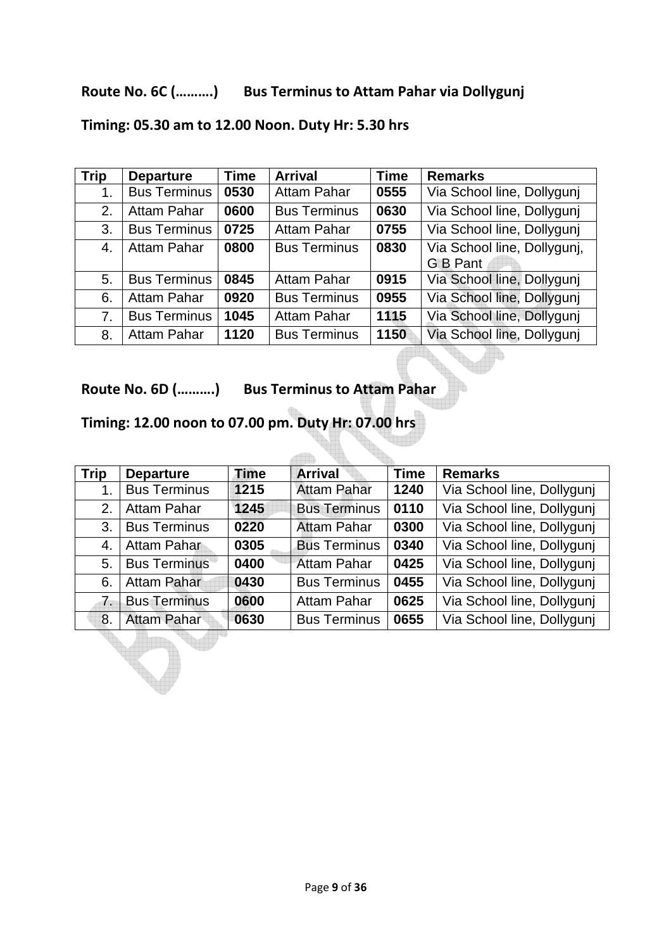#### **Route No. 6C (……….) Bus Terminus to Attam Pahar via Dollygunj**

| <b>Trip</b> | <b>Departure</b>    | <b>Time</b> | <b>Arrival</b>      | <b>Time</b> | <b>Remarks</b>              |
|-------------|---------------------|-------------|---------------------|-------------|-----------------------------|
| 1.          | <b>Bus Terminus</b> | 0530        | <b>Attam Pahar</b>  | 0555        | Via School line, Dollygunj  |
| 2.          | <b>Attam Pahar</b>  | 0600        | <b>Bus Terminus</b> | 0630        | Via School line, Dollygunj  |
| 3.          | <b>Bus Terminus</b> | 0725        | <b>Attam Pahar</b>  | 0755        | Via School line, Dollygunj  |
| 4.          | <b>Attam Pahar</b>  | 0800        | <b>Bus Terminus</b> | 0830        | Via School line, Dollygunj, |
|             |                     |             |                     |             | <b>G</b> B Pant             |
| 5.          | <b>Bus Terminus</b> | 0845        | <b>Attam Pahar</b>  | 0915        | Via School line, Dollygunj  |
| 6.          | Attam Pahar         | 0920        | <b>Bus Terminus</b> | 0955        | Via School line, Dollygunj  |
| 7.          | <b>Bus Terminus</b> | 1045        | <b>Attam Pahar</b>  | 1115        | Via School line, Dollygunj  |
| 8.          | Attam Pahar         | 1120        | <b>Bus Terminus</b> | 1150        | Via School line, Dollygunj  |

## **Timing: 05.30 am to 12.00 Noon. Duty Hr: 5.30 hrs**

**Route No. 6D (……….) Bus Terminus to Attam Pahar** 

## **Timing: 12.00 noon to 07.00 pm. Duty Hr: 07.00 hrs**

| <b>Trip</b>    | <b>Departure</b>    | <b>Time</b> | <b>Arrival</b>      | <b>Time</b>                        | <b>Remarks</b>             |  |
|----------------|---------------------|-------------|---------------------|------------------------------------|----------------------------|--|
|                | <b>Bus Terminus</b> | 1215        | <b>Attam Pahar</b>  | 1240                               | Via School line, Dollygunj |  |
| 2.             | Attam Pahar         | 1245        | <b>Bus Terminus</b> | Via School line, Dollygunj<br>0110 |                            |  |
| 3.             | <b>Bus Terminus</b> | 0220        | <b>Attam Pahar</b>  | 0300                               | Via School line, Dollygunj |  |
| 4.             | Attam Pahar         | 0305        | <b>Bus Terminus</b> | 0340                               | Via School line, Dollygunj |  |
| 5.             | <b>Bus Terminus</b> | 0400        | <b>Attam Pahar</b>  | 0425                               | Via School line, Dollygunj |  |
| 6.             | Attam Pahar         | 0430        | <b>Bus Terminus</b> | 0455                               | Via School line, Dollygunj |  |
| 7 <sub>1</sub> | <b>Bus Terminus</b> | 0600        | <b>Attam Pahar</b>  | 0625                               | Via School line, Dollygunj |  |
| 8.             | <b>Attam Pahar</b>  | 0630        | <b>Bus Terminus</b> | 0655                               | Via School line, Dollygunj |  |

 $\sim$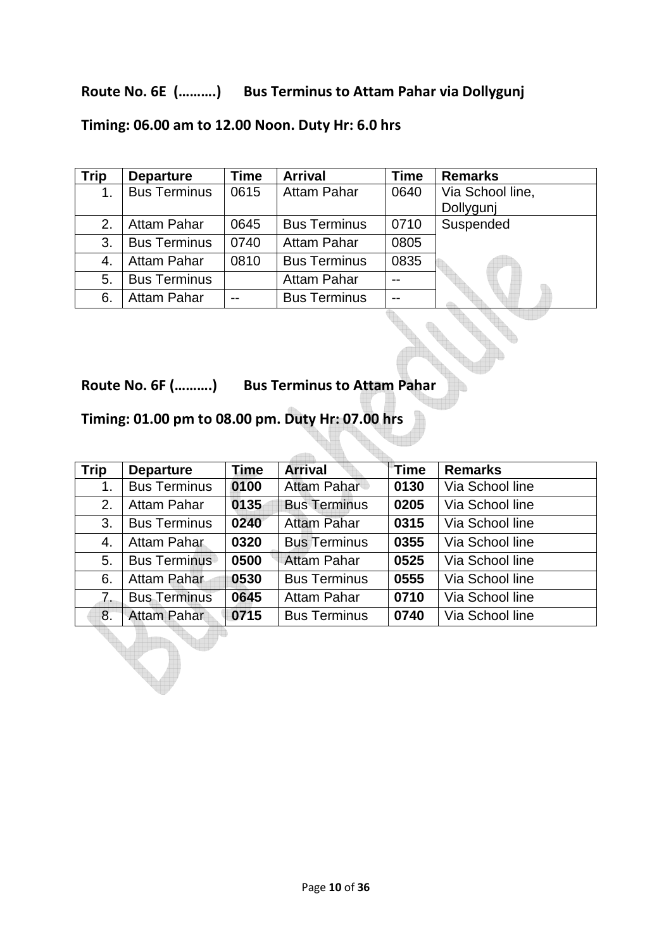#### **Route No. 6E (……….) Bus Terminus to Attam Pahar via Dollygunj**

## **Timing: 06.00 am to 12.00 Noon. Duty Hr: 6.0 hrs**

| <b>Trip</b> | <b>Departure</b>    | <b>Time</b> | <b>Arrival</b>      | <b>Time</b> | <b>Remarks</b>   |
|-------------|---------------------|-------------|---------------------|-------------|------------------|
| 1.          | <b>Bus Terminus</b> | 0615        | <b>Attam Pahar</b>  | 0640        | Via School line, |
|             |                     |             |                     |             | Dollygunj        |
| 2.          | Attam Pahar         | 0645        | <b>Bus Terminus</b> | 0710        | Suspended        |
| 3.          | <b>Bus Terminus</b> | 0740        | <b>Attam Pahar</b>  | 0805        |                  |
| 4.          | Attam Pahar         | 0810        | <b>Bus Terminus</b> | 0835        |                  |
| 5.          | <b>Bus Terminus</b> |             | <b>Attam Pahar</b>  | $-$         |                  |
| 6.          | <b>Attam Pahar</b>  |             | <b>Bus Terminus</b> | $- -$       |                  |

**Route No. 6F (……….) Bus Terminus to Attam Pahar** 

### **Timing: 01.00 pm to 08.00 pm. Duty Hr: 07.00 hrs**

| <b>Trip</b> | <b>Departure</b>    | <b>Time</b> | <b>Arrival</b>      | Time                    | <b>Remarks</b>  |  |
|-------------|---------------------|-------------|---------------------|-------------------------|-----------------|--|
| 1.          | <b>Bus Terminus</b> | 0100        | Attam Pahar         | 0130                    | Via School line |  |
| 2.          | Attam Pahar         | 0135        | <b>Bus Terminus</b> | 0205<br>Via School line |                 |  |
| 3.          | <b>Bus Terminus</b> | 0240        | <b>Attam Pahar</b>  | 0315                    | Via School line |  |
| 4.          | Attam Pahar         | 0320        | <b>Bus Terminus</b> | 0355                    | Via School line |  |
| 5.          | <b>Bus Terminus</b> | 0500        | <b>Attam Pahar</b>  | 0525                    | Via School line |  |
| 6.          | Attam Pahar         | 0530        | <b>Bus Terminus</b> | 0555                    | Via School line |  |
| 7.          | <b>Bus Terminus</b> | 0645        | Attam Pahar         | 0710<br>Via School line |                 |  |
| 8.          | <b>Attam Pahar</b>  | 0715        | <b>Bus Terminus</b> | 0740                    | Via School line |  |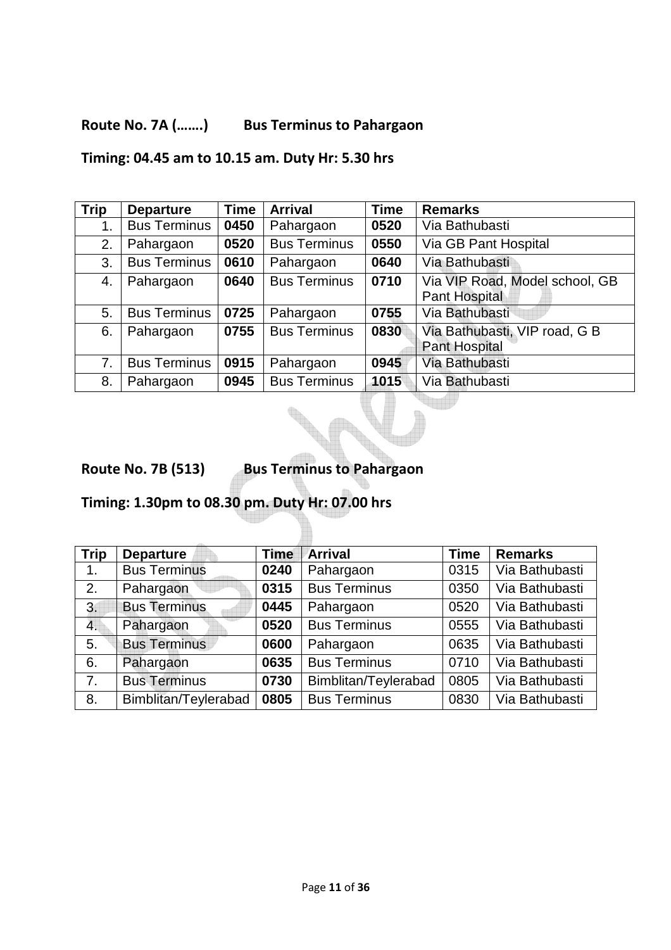### **Route No. 7A (…….) Bus Terminus to Pahargaon**

**Timing: 04.45 am to 10.15 am. Duty Hr: 5.30 hrs** 

| <b>Trip</b> | <b>Departure</b>    | <b>Time</b> | <b>Arrival</b>      | <b>Time</b> | <b>Remarks</b>                 |
|-------------|---------------------|-------------|---------------------|-------------|--------------------------------|
| 1.          | <b>Bus Terminus</b> | 0450        | Pahargaon           | 0520        | Via Bathubasti                 |
| 2.          | Pahargaon           | 0520        | <b>Bus Terminus</b> | 0550        | Via GB Pant Hospital           |
| 3.          | <b>Bus Terminus</b> | 0610        | Pahargaon           | 0640        | Via Bathubasti                 |
| 4.          | Pahargaon           | 0640        | <b>Bus Terminus</b> | 0710        | Via VIP Road, Model school, GB |
|             |                     |             |                     |             | Pant Hospital                  |
| 5.          | <b>Bus Terminus</b> | 0725        | Pahargaon           | 0755        | Via Bathubasti                 |
| 6.          | Pahargaon           | 0755        | <b>Bus Terminus</b> | 0830        | Via Bathubasti, VIP road, G B  |
|             |                     |             |                     |             | <b>Pant Hospital</b>           |
| 7.          | <b>Bus Terminus</b> | 0915        | Pahargaon           | 0945        | Via Bathubasti                 |
| 8.          | Pahargaon           | 0945        | <b>Bus Terminus</b> | 1015        | Via Bathubasti                 |

**Route No. 7B (513) Bus Terminus to Pahargaon** 

**Timing: 1.30pm to 08.30 pm. Duty Hr: 07.00 hrs** 

| <b>Trip</b> | <b>Departure</b>     | <b>Time</b> | <b>Arrival</b>       | <b>Time</b> | <b>Remarks</b> |
|-------------|----------------------|-------------|----------------------|-------------|----------------|
| 1.          | <b>Bus Terminus</b>  | 0240        | Pahargaon            | 0315        | Via Bathubasti |
| 2.          | Pahargaon            | 0315        | <b>Bus Terminus</b>  | 0350        | Via Bathubasti |
| 3.          | <b>Bus Terminus</b>  | 0445        | Pahargaon            | 0520        | Via Bathubasti |
| 4.          | Pahargaon            | 0520        | <b>Bus Terminus</b>  | 0555        | Via Bathubasti |
| 5.          | <b>Bus Terminus</b>  | 0600        | Pahargaon            | 0635        | Via Bathubasti |
| 6.          | Pahargaon            | 0635        | <b>Bus Terminus</b>  | 0710        | Via Bathubasti |
| 7.          | <b>Bus Terminus</b>  | 0730        | Bimblitan/Teylerabad | 0805        | Via Bathubasti |
| 8.          | Bimblitan/Teylerabad | 0805        | <b>Bus Terminus</b>  | 0830        | Via Bathubasti |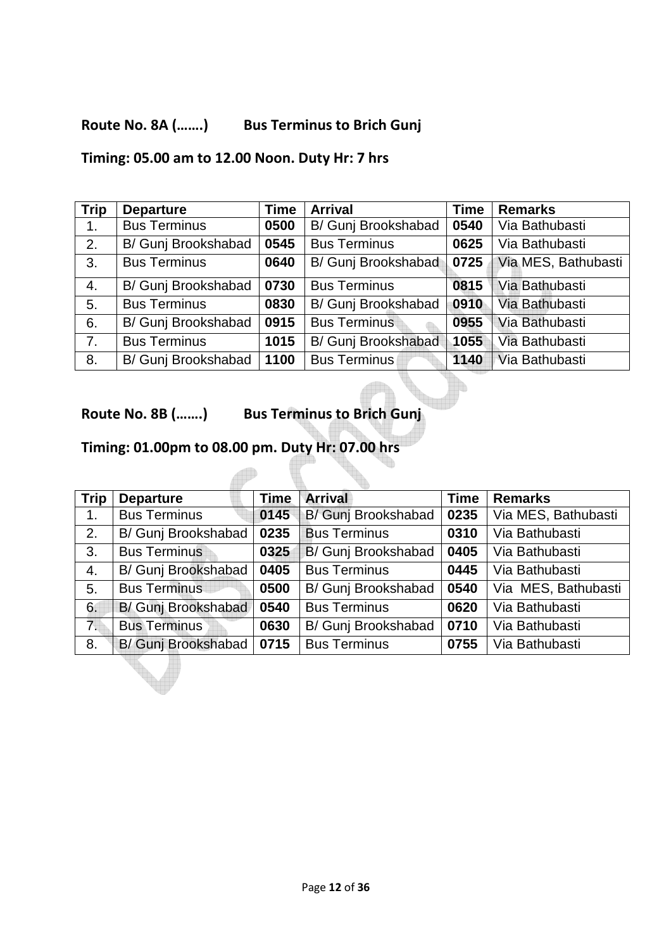### **Route No. 8A (…….) Bus Terminus to Brich Gunj**

#### **Timing: 05.00 am to 12.00 Noon. Duty Hr: 7 hrs**

| <b>Trip</b> | <b>Departure</b>    | <b>Time</b> | <b>Arrival</b>      | <b>Time</b> |                     |
|-------------|---------------------|-------------|---------------------|-------------|---------------------|
| 1.          | <b>Bus Terminus</b> | 0500        | B/ Gunj Brookshabad | 0540        | Via Bathubasti      |
| 2.          | B/ Gunj Brookshabad | 0545        | <b>Bus Terminus</b> | 0625        | Via Bathubasti      |
| 3.          | <b>Bus Terminus</b> | 0640        | B/ Gunj Brookshabad | 0725        | Via MES, Bathubasti |
| 4.          | B/ Gunj Brookshabad | 0730        | <b>Bus Terminus</b> | 0815        | Via Bathubasti      |
| 5.          | <b>Bus Terminus</b> | 0830        | B/ Gunj Brookshabad | 0910        | Via Bathubasti      |
| 6.          | B/ Gunj Brookshabad | 0915        | <b>Bus Terminus</b> | 0955        | Via Bathubasti      |
| 7.          | <b>Bus Terminus</b> | 1015        | B/ Gunj Brookshabad | 1055        | Via Bathubasti      |
| 8.          | B/ Gunj Brookshabad | 1100        | <b>Bus Terminus</b> | 1140        | Via Bathubasti      |

#### **Route No. 8B (…….) Bus Terminus to Brich Gunj**

## **Timing: 01.00pm to 08.00 pm. Duty Hr: 07.00 hrs**

| <b>Trip</b>      | <b>Departure</b>    | <b>Time</b> | <b>Arrival</b>      | <b>Time</b> | <b>Remarks</b>      |  |
|------------------|---------------------|-------------|---------------------|-------------|---------------------|--|
| 1.               | <b>Bus Terminus</b> | 0145        | B/ Gunj Brookshabad | 0235        | Via MES, Bathubasti |  |
| 2.               | B/ Gunj Brookshabad | 0235        | <b>Bus Terminus</b> | 0310        | Via Bathubasti      |  |
| 3.               | <b>Bus Terminus</b> | 0325        | B/ Gunj Brookshabad | 0405        | Via Bathubasti      |  |
| 4.               | B/ Gunj Brookshabad | 0405        | <b>Bus Terminus</b> | 0445        | Via Bathubasti      |  |
| 5.               | <b>Bus Terminus</b> | 0500        | B/ Gunj Brookshabad | 0540        | Via MES, Bathubasti |  |
| 6.               | B/ Gunj Brookshabad | 0540        | <b>Bus Terminus</b> | 0620        | Via Bathubasti      |  |
| $\overline{7}$ . | <b>Bus Terminus</b> | 0630        | B/ Gunj Brookshabad | 0710        | Via Bathubasti      |  |
| 8.               | B/ Gunj Brookshabad | 0715        | <b>Bus Terminus</b> | 0755        | Via Bathubasti      |  |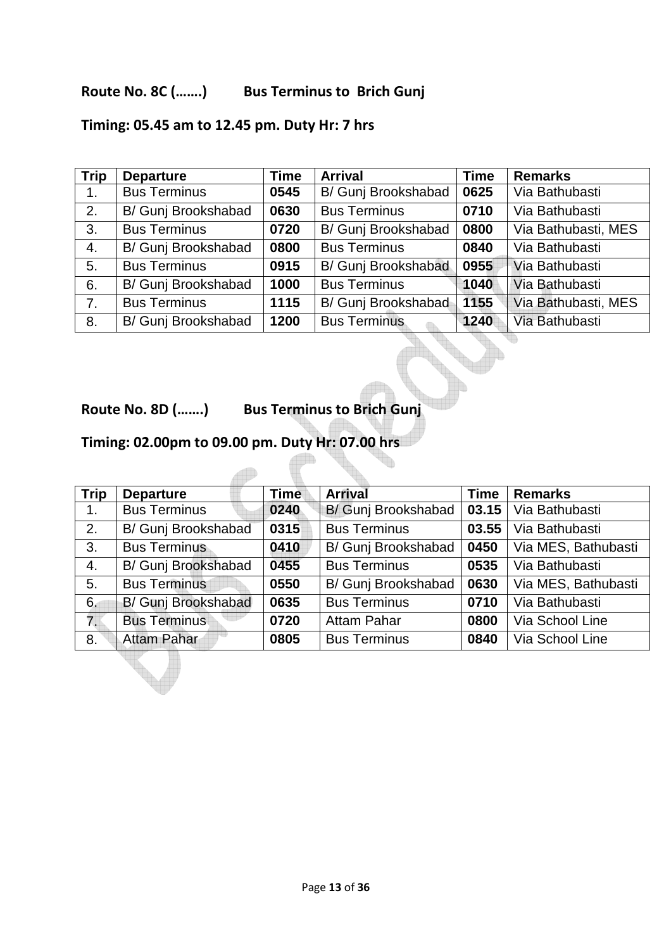#### **Route No. 8C (…….) Bus Terminus to Brich Gunj**

## **Timing: 05.45 am to 12.45 pm. Duty Hr: 7 hrs**

| <b>Trip</b> | <b>Departure</b>    | <b>Time</b> | <b>Arrival</b>      | <b>Time</b> | <b>Remarks</b>      |
|-------------|---------------------|-------------|---------------------|-------------|---------------------|
| 1.          | <b>Bus Terminus</b> | 0545        | B/ Gunj Brookshabad | 0625        | Via Bathubasti      |
| 2.          | B/ Gunj Brookshabad | 0630        | <b>Bus Terminus</b> | 0710        | Via Bathubasti      |
| 3.          | <b>Bus Terminus</b> | 0720        | B/ Gunj Brookshabad | 0800        | Via Bathubasti, MES |
| 4.          | B/ Gunj Brookshabad | 0800        | <b>Bus Terminus</b> | 0840        | Via Bathubasti      |
| 5.          | <b>Bus Terminus</b> | 0915        | B/ Gunj Brookshabad | 0955        | Via Bathubasti      |
| 6.          | B/ Gunj Brookshabad | 1000        | <b>Bus Terminus</b> | 1040        | Via Bathubasti      |
| 7.          | <b>Bus Terminus</b> | 1115        | B/ Gunj Brookshabad | 1155        | Via Bathubasti, MES |
| 8.          | B/ Gunj Brookshabad | 1200        | <b>Bus Terminus</b> | 1240        | Via Bathubasti      |

 $\blacksquare$ 

**Route No. 8D (…….) Bus Terminus to Brich Gunj** 

### **Timing: 02.00pm to 09.00 pm. Duty Hr: 07.00 hrs**

 $\sqrt{2}$ 

| <b>Trip</b>    | <b>Departure</b>    | <b>Time</b> | <b>Arrival</b>      | <b>Time</b> | <b>Remarks</b>      |
|----------------|---------------------|-------------|---------------------|-------------|---------------------|
| 1 <sub>1</sub> | <b>Bus Terminus</b> | 0240        | B/ Gunj Brookshabad | 03.15       | Via Bathubasti      |
| 2.             | B/ Gunj Brookshabad | 0315        | <b>Bus Terminus</b> | 03.55       | Via Bathubasti      |
| 3.             | <b>Bus Terminus</b> | 0410        | B/ Gunj Brookshabad | 0450        | Via MES, Bathubasti |
| 4.             | B/ Gunj Brookshabad | 0455        | <b>Bus Terminus</b> | 0535        | Via Bathubasti      |
| 5.             | <b>Bus Terminus</b> | 0550        | B/ Gunj Brookshabad | 0630        | Via MES, Bathubasti |
| 6.             | B/ Gunj Brookshabad | 0635        | <b>Bus Terminus</b> | 0710        | Via Bathubasti      |
| 7.             | <b>Bus Terminus</b> | 0720        | <b>Attam Pahar</b>  | 0800        | Via School Line     |
| 8.             | <b>Attam Pahar</b>  | 0805        | <b>Bus Terminus</b> | 0840        | Via School Line     |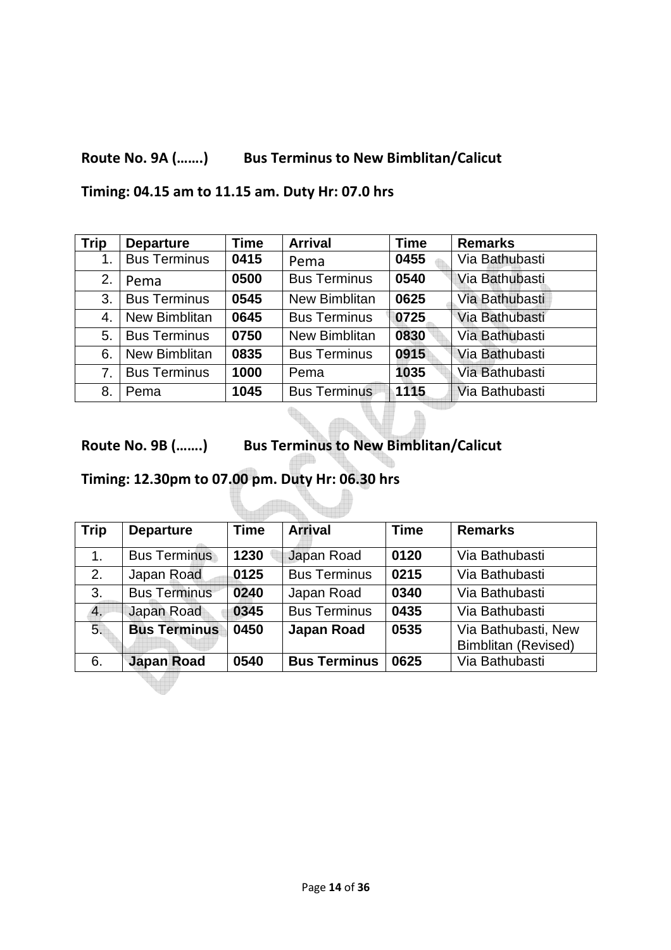## **Route No. 9A (…….) Bus Terminus to New Bimblitan/Calicut**

**Timing: 04.15 am to 11.15 am. Duty Hr: 07.0 hrs** 

| <b>Trip</b> | <b>Departure</b>     | <b>Time</b> | <b>Arrival</b>      | <b>Time</b> | <b>Remarks</b> |
|-------------|----------------------|-------------|---------------------|-------------|----------------|
| 1.          | <b>Bus Terminus</b>  | 0415        | Pema                | 0455        | Via Bathubasti |
| 2.          | Pema                 | 0500        | <b>Bus Terminus</b> | 0540        | Via Bathubasti |
| 3.          | <b>Bus Terminus</b>  | 0545        | New Bimblitan       | 0625        | Via Bathubasti |
| 4.          | <b>New Bimblitan</b> | 0645        | <b>Bus Terminus</b> | 0725        | Via Bathubasti |
| 5.          | <b>Bus Terminus</b>  | 0750        | New Bimblitan       | 0830        | Via Bathubasti |
| 6.          | New Bimblitan        | 0835        | <b>Bus Terminus</b> | 0915        | Via Bathubasti |
| 7.          | <b>Bus Terminus</b>  | 1000        | Pema                | 1035        | Via Bathubasti |
| 8.          | Pema                 | 1045        | <b>Bus Terminus</b> | 1115        | Via Bathubasti |

**Route No. 9B (…….) Bus Terminus to New Bimblitan/Calicut** 

**Allin** 

**Timing: 12.30pm to 07.00 pm. Duty Hr: 06.30 hrs** 

| <b>Trip</b>      | <b>Departure</b>    | <b>Time</b> | <b>Arrival</b>      | <b>Time</b> | <b>Remarks</b>                                    |
|------------------|---------------------|-------------|---------------------|-------------|---------------------------------------------------|
| 1.               | <b>Bus Terminus</b> | 1230        | Japan Road          | 0120        | Via Bathubasti                                    |
| 2.               | Japan Road          | 0125        | <b>Bus Terminus</b> | 0215        | Via Bathubasti                                    |
| 3.               | <b>Bus Terminus</b> | 0240        | Japan Road          | 0340        | Via Bathubasti                                    |
| $\overline{4}$ . | Japan Road          | 0345        | <b>Bus Terminus</b> | 0435        | Via Bathubasti                                    |
| 5.               | <b>Bus Terminus</b> | 0450        | <b>Japan Road</b>   | 0535        | Via Bathubasti, New<br><b>Bimblitan (Revised)</b> |
| 6.               | <b>Japan Road</b>   | 0540        | <b>Bus Terminus</b> | 0625        | Via Bathubasti                                    |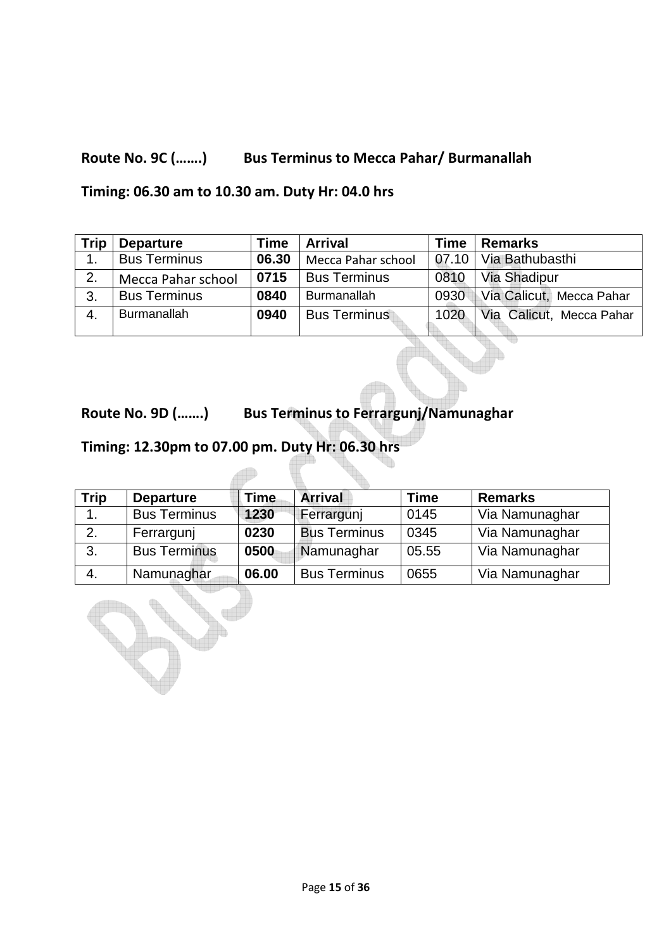## **Route No. 9C (…….) Bus Terminus to Mecca Pahar/ Burmanallah**

#### **Timing: 06.30 am to 10.30 am. Duty Hr: 04.0 hrs**

| <b>Trip</b> | <b>Departure</b>    | <b>Time</b> | <b>Arrival</b>      | <b>Time</b> | <b>Remarks</b>           |
|-------------|---------------------|-------------|---------------------|-------------|--------------------------|
|             | <b>Bus Terminus</b> | 06.30       | Mecca Pahar school  |             | 07.10   Via Bathubasthi  |
| 2.          | Mecca Pahar school  | 0715        | <b>Bus Terminus</b> | 0810        | Via Shadipur             |
| 3.          | <b>Bus Terminus</b> | 0840        | <b>Burmanallah</b>  | 0930        | Via Calicut, Mecca Pahar |
| 4.          | <b>Burmanallah</b>  | 0940        | <b>Bus Terminus</b> | 1020        | Via Calicut, Mecca Pahar |
|             |                     |             |                     |             |                          |

**Route No. 9D (…….) Bus Terminus to Ferrargunj/Namunaghar** 

## **Timing: 12.30pm to 07.00 pm. Duty Hr: 06.30 hrs**

| <b>Trip</b> | <b>Departure</b>    | Time  | <b>Arrival</b>      | <b>Time</b> | <b>Remarks</b> |
|-------------|---------------------|-------|---------------------|-------------|----------------|
| 1.          | <b>Bus Terminus</b> | 1230  | Ferrargunj          | 0145        | Via Namunaghar |
| 2.          | Ferrargunj          | 0230  | <b>Bus Terminus</b> | 0345        | Via Namunaghar |
| 3.          | <b>Bus Terminus</b> | 0500  | Namunaghar          | 05.55       | Via Namunaghar |
| 4.          | Namunaghar          | 06.00 | <b>Bus Terminus</b> | 0655        | Via Namunaghar |

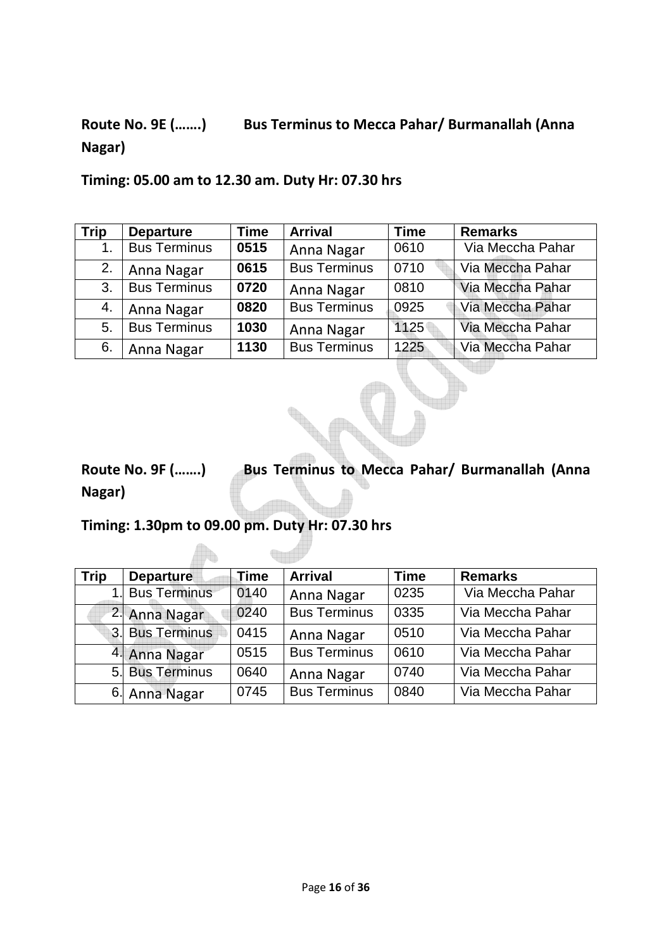# **Route No. 9E (…….) Bus Terminus to Mecca Pahar/ Burmanallah (Anna Nagar)**

| <b>Trip</b> | <b>Departure</b>    | <b>Time</b> | <b>Arrival</b>      | <b>Time</b> | <b>Remarks</b>   |
|-------------|---------------------|-------------|---------------------|-------------|------------------|
|             | <b>Bus Terminus</b> | 0515        | Anna Nagar          | 0610        | Via Meccha Pahar |
| 2.          | Anna Nagar          | 0615        | <b>Bus Terminus</b> | 0710        | Via Meccha Pahar |
| 3.          | <b>Bus Terminus</b> | 0720        | Anna Nagar          | 0810        | Via Meccha Pahar |
| 4.          | Anna Nagar          | 0820        | <b>Bus Terminus</b> | 0925        | Via Meccha Pahar |
| 5.          | <b>Bus Terminus</b> | 1030        | Anna Nagar          | 1125        | Via Meccha Pahar |
| 6.          | Anna Nagar          | 1130        | <b>Bus Terminus</b> | 1225        | Via Meccha Pahar |

# **Route No. 9F (…….) Bus Terminus to Mecca Pahar/ Burmanallah (Anna Nagar)**

### **Timing: 1.30pm to 09.00 pm. Duty Hr: 07.30 hrs**

| Trip | <b>Departure</b> | <b>Time</b> | <b>Arrival</b>      | <b>Time</b> | <b>Remarks</b>   |
|------|------------------|-------------|---------------------|-------------|------------------|
|      | Bus Terminus     | 0140        | Anna Nagar          | 0235        | Via Meccha Pahar |
|      | 2. Anna Nagar    | 0240        | <b>Bus Terminus</b> | 0335        | Via Meccha Pahar |
|      | 3. Bus Terminus  | 0415        | Anna Nagar          | 0510        | Via Meccha Pahar |
|      | 4. Anna Nagar    | 0515        | <b>Bus Terminus</b> | 0610        | Via Meccha Pahar |
|      | 5. Bus Terminus  | 0640        | Anna Nagar          | 0740        | Via Meccha Pahar |
|      | 6. Anna Nagar    | 0745        | <b>Bus Terminus</b> | 0840        | Via Meccha Pahar |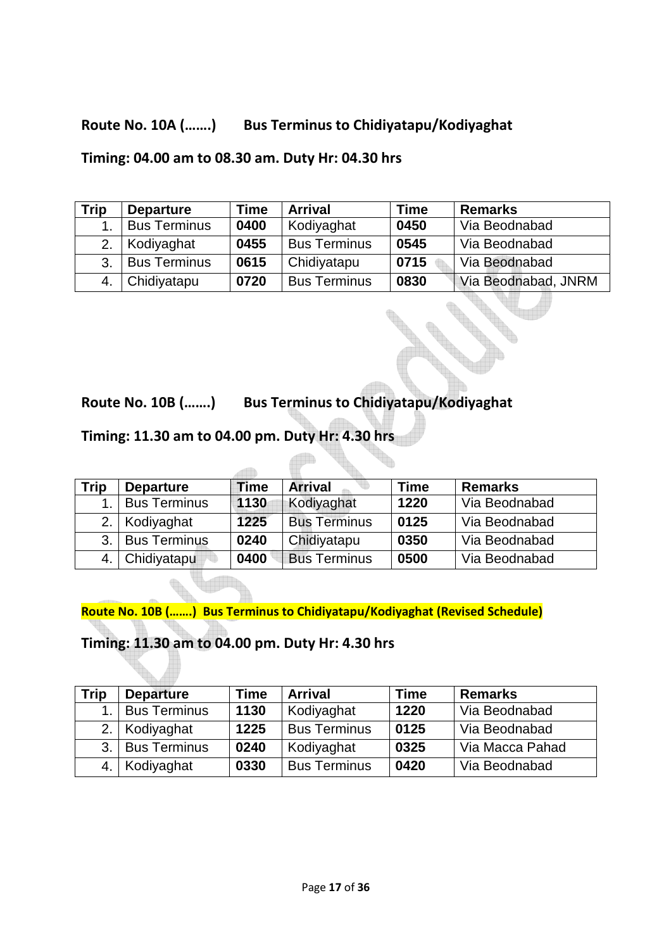### **Route No. 10A (…….) Bus Terminus to Chidiyatapu/Kodiyaghat**

**Timing: 04.00 am to 08.30 am. Duty Hr: 04.30 hrs** 

| Trip | <b>Departure</b>    | Time | <b>Arrival</b>      | <b>Time</b> | <b>Remarks</b>      |
|------|---------------------|------|---------------------|-------------|---------------------|
|      | <b>Bus Terminus</b> | 0400 | Kodiyaghat          | 0450        | Via Beodnabad       |
| 2.   | Kodiyaghat          | 0455 | <b>Bus Terminus</b> | 0545        | Via Beodnabad       |
| 3.   | <b>Bus Terminus</b> | 0615 | Chidiyatapu         | 0715        | Via Beodnabad       |
|      | Chidiyatapu         | 0720 | <b>Bus Terminus</b> | 0830        | Via Beodnabad, JNRM |

**Route No. 10B (…….) Bus Terminus to Chidiyatapu/Kodiyaghat** 

**Timing: 11.30 am to 04.00 pm. Duty Hr: 4.30 hrs** 

| Trip | <b>Departure</b>    | Time | <b>Arrival</b>      | Time | <b>Remarks</b> |
|------|---------------------|------|---------------------|------|----------------|
|      | <b>Bus Terminus</b> | 1130 | Kodiyaghat          | 1220 | Via Beodnabad  |
| 2.   | Kodiyaghat          | 1225 | <b>Bus Terminus</b> | 0125 | Via Beodnabad  |
| 3.   | <b>Bus Terminus</b> | 0240 | Chidiyatapu         | 0350 | Via Beodnabad  |
|      | Chidiyatapu         | 0400 | <b>Bus Terminus</b> | 0500 | Via Beodnabad  |

**Route No. 10B (…….) Bus Terminus to Chidiyatapu/Kodiyaghat (Revised Schedule)** 

**Timing: 11.30 am to 04.00 pm. Duty Hr: 4.30 hrs** 

| <b>Trip</b> | <b>Departure</b>    | <b>Time</b> | <b>Arrival</b>      | Time | <b>Remarks</b>  |
|-------------|---------------------|-------------|---------------------|------|-----------------|
| 1.          | <b>Bus Terminus</b> | 1130        | Kodiyaghat          | 1220 | Via Beodnabad   |
|             | 2. Kodiyaghat       | 1225        | <b>Bus Terminus</b> | 0125 | Via Beodnabad   |
| 3.1         | <b>Bus Terminus</b> | 0240        | Kodiyaghat          | 0325 | Via Macca Pahad |
|             | 4.   Kodiyaghat     | 0330        | <b>Bus Terminus</b> | 0420 | Via Beodnabad   |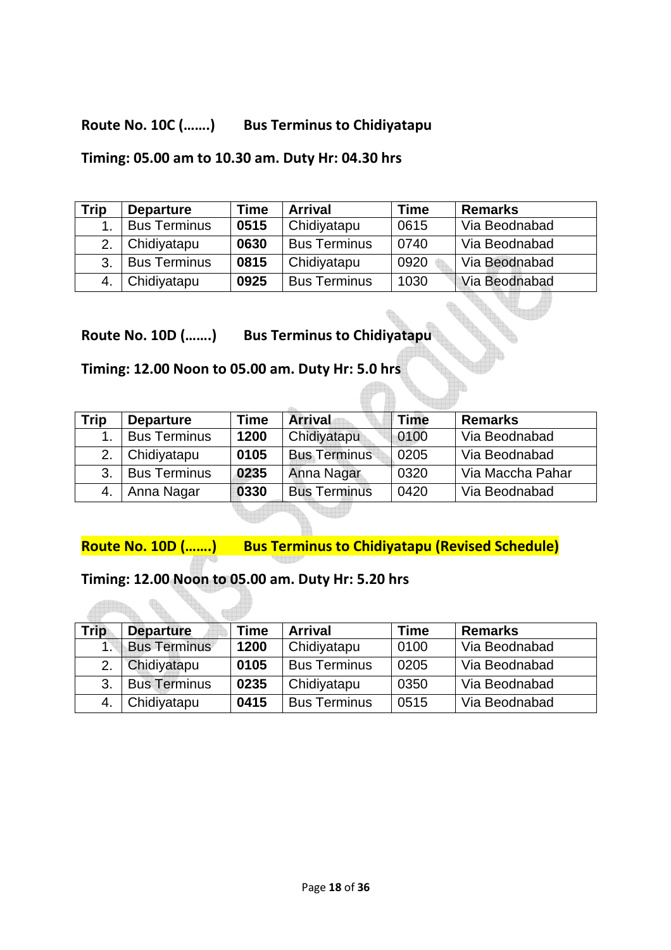### **Route No. 10C (…….) Bus Terminus to Chidiyatapu**

#### **Timing: 05.00 am to 10.30 am. Duty Hr: 04.30 hrs**

| Trip | <b>Departure</b>    | Time | <b>Arrival</b>      | Time | <b>Remarks</b> |
|------|---------------------|------|---------------------|------|----------------|
|      | <b>Bus Terminus</b> | 0515 | Chidiyatapu         | 0615 | Via Beodnabad  |
| 2.   | Chidiyatapu         | 0630 | <b>Bus Terminus</b> | 0740 | Via Beodnabad  |
| 3.   | <b>Bus Terminus</b> | 0815 | Chidiyatapu         | 0920 | Via Beodnabad  |
|      | Chidiyatapu         | 0925 | <b>Bus Terminus</b> | 1030 | Via Beodnabad  |

**Route No. 10D (…….) Bus Terminus to Chidiyatapu** 

**Timing: 12.00 Noon to 05.00 am. Duty Hr: 5.0 hrs** 

| Trip | <b>Departure</b>    | Time | <b>Arrival</b>      | <b>Time</b> | <b>Remarks</b>   |
|------|---------------------|------|---------------------|-------------|------------------|
|      | <b>Bus Terminus</b> | 1200 | Chidiyatapu         | 0100        | Via Beodnabad    |
| 2.   | Chidiyatapu         | 0105 | <b>Bus Terminus</b> | 0205        | Via Beodnabad    |
| 3.   | <b>Bus Terminus</b> | 0235 | Anna Nagar          | 0320        | Via Maccha Pahar |
|      | Anna Nagar          | 0330 | <b>Bus Terminus</b> | 0420        | Via Beodnabad    |

**Route No. 10D (…….) Bus Terminus to Chidiyatapu (Revised Schedule)** 

#### **Timing: 12.00 Noon to 05.00 am. Duty Hr: 5.20 hrs**

| <b>Trip</b> | <b>Departure</b>    | Time | <b>Arrival</b>      | Time | <b>Remarks</b> |
|-------------|---------------------|------|---------------------|------|----------------|
|             | <b>Bus Terminus</b> | 1200 | Chidiyatapu         | 0100 | Via Beodnabad  |
| 2.          | Chidiyatapu         | 0105 | <b>Bus Terminus</b> | 0205 | Via Beodnabad  |
| 3.          | <b>Bus Terminus</b> | 0235 | Chidiyatapu         | 0350 | Via Beodnabad  |
| 4.          | Chidiyatapu         | 0415 | <b>Bus Terminus</b> | 0515 | Via Beodnabad  |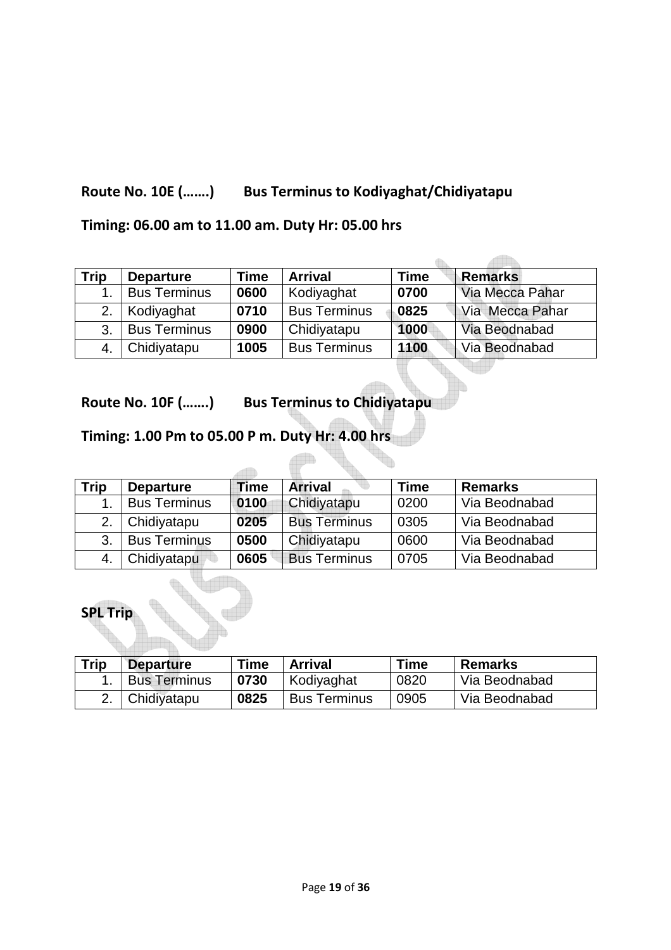### **Route No. 10E (…….) Bus Terminus to Kodiyaghat/Chidiyatapu**

### **Timing: 06.00 am to 11.00 am. Duty Hr: 05.00 hrs**

| Trip | <b>Departure</b>    | Time | <b>Arrival</b>      | <b>Time</b> | <b>Remarks</b>  |
|------|---------------------|------|---------------------|-------------|-----------------|
|      | <b>Bus Terminus</b> | 0600 | Kodiyaghat          | 0700        | Via Mecca Pahar |
| 2.   | Kodiyaghat          | 0710 | <b>Bus Terminus</b> | 0825        | Via Mecca Pahar |
| 3.   | <b>Bus Terminus</b> | 0900 | Chidiyatapu         | 1000        | Via Beodnabad   |
|      | Chidiyatapu         | 1005 | <b>Bus Terminus</b> | 1100        | Via Beodnabad   |

 $\sim$ 

**Route No. 10F (…….) Bus Terminus to Chidiyatapu** 

### **Timing: 1.00 Pm to 05.00 P m. Duty Hr: 4.00 hrs**

 $\rightarrow$ 

| Trip | <b>Departure</b>    | Time | <b>Arrival</b>      | <b>Time</b> | <b>Remarks</b> |
|------|---------------------|------|---------------------|-------------|----------------|
|      | <b>Bus Terminus</b> | 0100 | Chidiyatapu         | 0200        | Via Beodnabad  |
| 2.   | Chidiyatapu         | 0205 | <b>Bus Terminus</b> | 0305        | Via Beodnabad  |
| 3.   | <b>Bus Terminus</b> | 0500 | Chidiyatapu         | 0600        | Via Beodnabad  |
|      | Chidiyatapu         | 0605 | <b>Bus Terminus</b> | 0705        | Via Beodnabad  |

### **SPL Trip**

| <b>Trip</b> | <b>Departure</b>    | <b>Time</b> | <b>Arrival</b>      | <b>Time</b> | <b>Remarks</b> |
|-------------|---------------------|-------------|---------------------|-------------|----------------|
|             | <b>Bus Terminus</b> | 0730        | Kodiyaghat          | 0820        | Via Beodnabad  |
|             | Chidiyatapu         | 0825        | <b>Bus Terminus</b> | 0905        | Via Beodnabad  |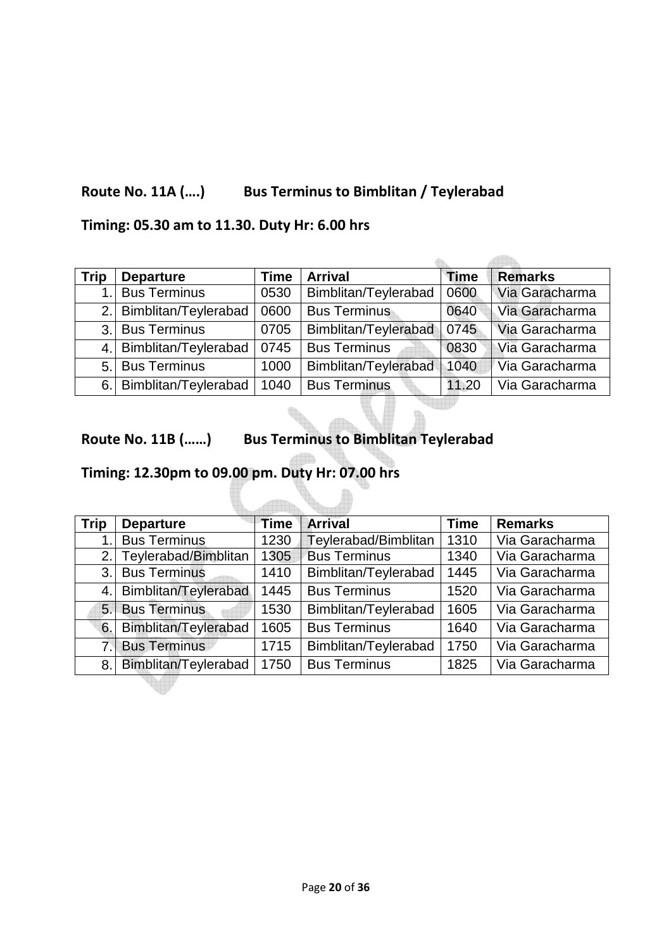### **Route No. 11A (….) Bus Terminus to Bimblitan / Teylerabad**

### **Timing: 05.30 am to 11.30. Duty Hr: 6.00 hrs**

| <b>Trip</b> | <b>Departure</b>        | <b>Time</b> | <b>Arrival</b>       | <b>Time</b> | <b>Remarks</b> |
|-------------|-------------------------|-------------|----------------------|-------------|----------------|
|             | <b>Bus Terminus</b>     | 0530        | Bimblitan/Teylerabad | 0600        | Via Garacharma |
|             | 2. Bimblitan/Teylerabad | 0600        | <b>Bus Terminus</b>  | 0640        | Via Garacharma |
|             | 3. Bus Terminus         | 0705        | Bimblitan/Teylerabad | 0745        | Via Garacharma |
|             | 4. Bimblitan/Teylerabad | 0745        | <b>Bus Terminus</b>  | 0830        | Via Garacharma |
|             | 5. Bus Terminus         | 1000        | Bimblitan/Teylerabad | 1040        | Via Garacharma |
| 6.          | Bimblitan/Teylerabad    | 1040        | <b>Bus Terminus</b>  | 11.20       | Via Garacharma |

 $\sim$ 

#### **Route No. 11B (……) Bus Terminus to Bimblitan Teylerabad**

## **Timing: 12.30pm to 09.00 pm. Duty Hr: 07.00 hrs**

| <b>Trip</b> | <b>Departure</b>     | <b>Time</b> | <b>Arrival</b>       | <b>Time</b> | <b>Remarks</b> |
|-------------|----------------------|-------------|----------------------|-------------|----------------|
| 1.          | <b>Bus Terminus</b>  | 1230        | Teylerabad/Bimblitan | 1310        | Via Garacharma |
| 2.1         | Teylerabad/Bimblitan | 1305        | <b>Bus Terminus</b>  | 1340        | Via Garacharma |
| 3.1         | <b>Bus Terminus</b>  | 1410        | Bimblitan/Teylerabad | 1445        | Via Garacharma |
| 4.          | Bimblitan/Teylerabad | 1445        | <b>Bus Terminus</b>  | 1520        | Via Garacharma |
| 5.1         | <b>Bus Terminus</b>  | 1530        | Bimblitan/Teylerabad | 1605        | Via Garacharma |
| 6.          | Bimblitan/Teylerabad | 1605        | <b>Bus Terminus</b>  | 1640        | Via Garacharma |
| 7.1         | <b>Bus Terminus</b>  | 1715        | Bimblitan/Teylerabad | 1750        | Via Garacharma |
| 8.          | Bimblitan/Teylerabad | 1750        | <b>Bus Terminus</b>  | 1825        | Via Garacharma |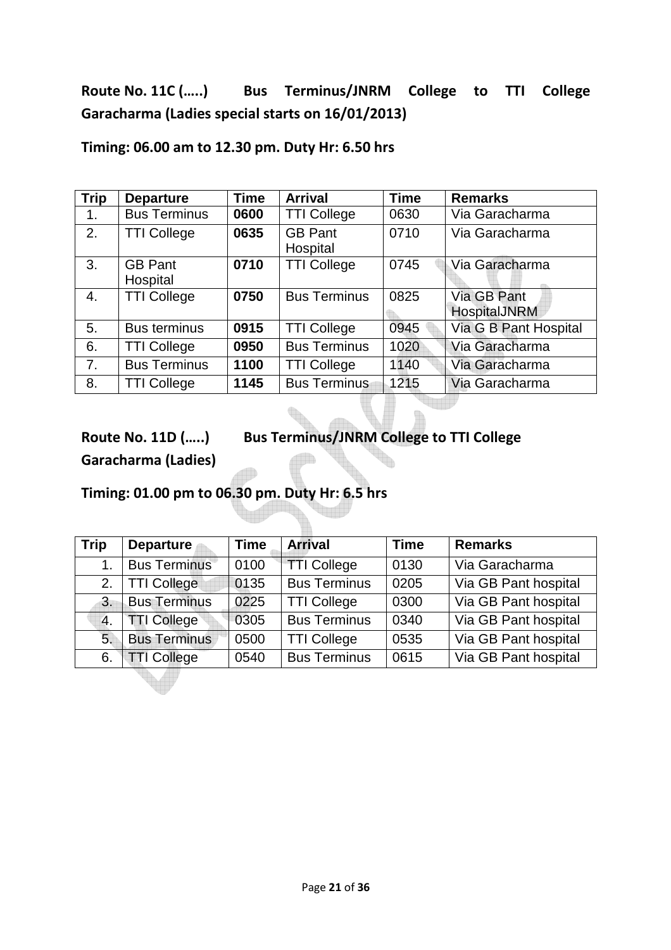## **Route No. 11C (…..) Bus Terminus/JNRM College to TTI College Garacharma (Ladies special starts on 16/01/2013)**

| <b>Trip</b>    | <b>Departure</b>           | <b>Time</b> | <b>Arrival</b>             | <b>Time</b> | <b>Remarks</b>                     |
|----------------|----------------------------|-------------|----------------------------|-------------|------------------------------------|
| $\mathbf{1}$ . | <b>Bus Terminus</b>        | 0600        | <b>TTI College</b>         | 0630        | Via Garacharma                     |
| 2.             | <b>TTI College</b>         | 0635        | <b>GB Pant</b><br>Hospital | 0710        | Via Garacharma                     |
| 3.             | <b>GB Pant</b><br>Hospital | 0710        | <b>TTI College</b>         | 0745        | Via Garacharma                     |
| 4.             | <b>TTI College</b>         | 0750        | <b>Bus Terminus</b>        | 0825        | Via GB Pant<br><b>HospitalJNRM</b> |
| 5.             | <b>Bus terminus</b>        | 0915        | <b>TTI College</b>         | 0945        | Via G B Pant Hospital              |
| 6.             | <b>TTI College</b>         | 0950        | <b>Bus Terminus</b>        | 1020        | Via Garacharma                     |
| 7.             | <b>Bus Terminus</b>        | 1100        | <b>TTI College</b>         | 1140        | Via Garacharma                     |
| 8.             | <b>TTI College</b>         | 1145        | <b>Bus Terminus</b>        | 1215        | Via Garacharma                     |

**Timing: 06.00 am to 12.30 pm. Duty Hr: 6.50 hrs** 

**Route No. 11D (…..) Bus Terminus/JNRM College to TTI College** 

**Garacharma (Ladies)** 

**Timing: 01.00 pm to 06.30 pm. Duty Hr: 6.5 hrs** 

| <b>Trip</b> | <b>Departure</b>    | <b>Time</b> | <b>Arrival</b>      | <b>Time</b> | <b>Remarks</b>       |
|-------------|---------------------|-------------|---------------------|-------------|----------------------|
| 1.          | <b>Bus Terminus</b> | 0100        | <b>TTI College</b>  | 0130        | Via Garacharma       |
| 2.          | <b>TTI College</b>  | 0135        | <b>Bus Terminus</b> | 0205        | Via GB Pant hospital |
| 3.          | <b>Bus Terminus</b> | 0225        | <b>TTI College</b>  | 0300        | Via GB Pant hospital |
| 4.          | <b>TTI College</b>  | 0305        | <b>Bus Terminus</b> | 0340        | Via GB Pant hospital |
| 5.          | <b>Bus Terminus</b> | 0500        | <b>TTI College</b>  | 0535        | Via GB Pant hospital |
| 6.          | <b>TTI College</b>  | 0540        | <b>Bus Terminus</b> | 0615        | Via GB Pant hospital |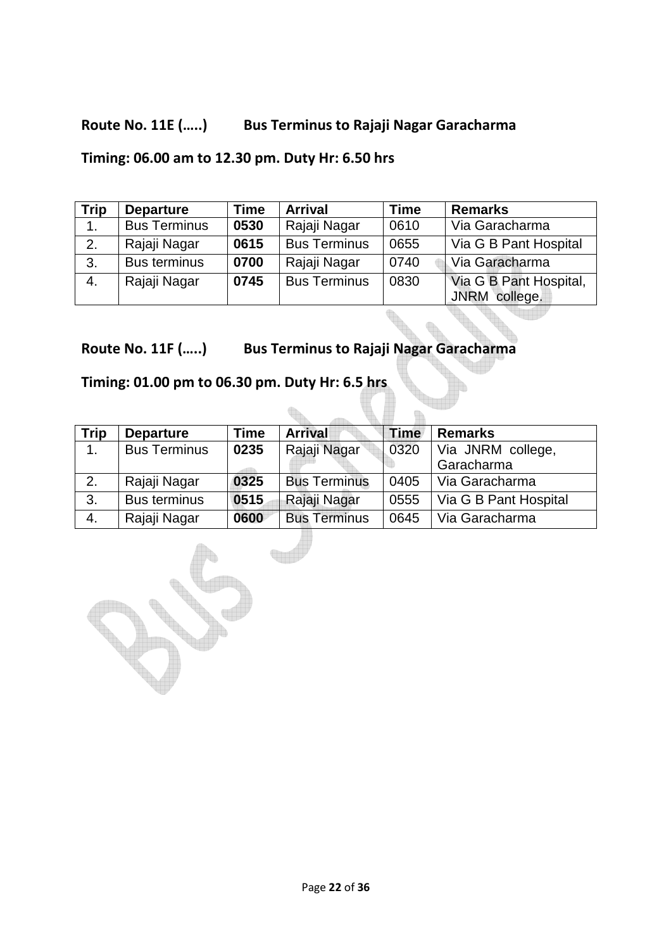### **Route No. 11E (…..) Bus Terminus to Rajaji Nagar Garacharma**

**Timing: 06.00 am to 12.30 pm. Duty Hr: 6.50 hrs** 

| <b>Trip</b> | <b>Departure</b>    | Time | <b>Arrival</b>      | <b>Time</b> | <b>Remarks</b>                          |
|-------------|---------------------|------|---------------------|-------------|-----------------------------------------|
| 1.          | <b>Bus Terminus</b> | 0530 | Rajaji Nagar        | 0610        | Via Garacharma                          |
| 2.          | Rajaji Nagar        | 0615 | <b>Bus Terminus</b> | 0655        | Via G B Pant Hospital                   |
| 3.          | <b>Bus terminus</b> | 0700 | Rajaji Nagar        | 0740        | Via Garacharma                          |
| 4.          | Rajaji Nagar        | 0745 | <b>Bus Terminus</b> | 0830        | Via G B Pant Hospital,<br>JNRM college. |

**Route No. 11F (…..) Bus Terminus to Rajaji Nagar Garacharma** 

t.

**Timing: 01.00 pm to 06.30 pm. Duty Hr: 6.5 hrs** 

| <b>Trip</b> | <b>Departure</b>    | Time | <b>Arrival</b>      | <b>Time</b> | <b>Remarks</b>        |
|-------------|---------------------|------|---------------------|-------------|-----------------------|
| 1.          | <b>Bus Terminus</b> | 0235 | Rajaji Nagar        | 0320        | Via JNRM college,     |
|             |                     |      |                     |             | Garacharma            |
| 2.          | Rajaji Nagar        | 0325 | <b>Bus Terminus</b> | 0405        | Via Garacharma        |
| 3.          | <b>Bus terminus</b> | 0515 | Rajaji Nagar        | 0555        | Via G B Pant Hospital |
| 4.          | Rajaji Nagar        | 0600 | <b>Bus Terminus</b> | 0645        | Via Garacharma        |

G.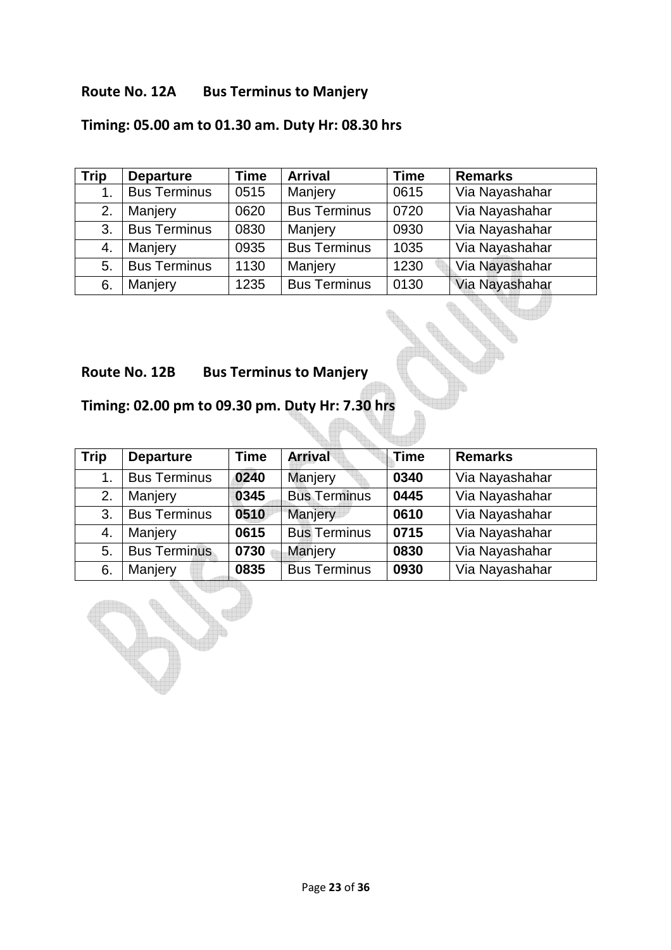#### **Route No. 12A Bus Terminus to Manjery**

## **Timing: 05.00 am to 01.30 am. Duty Hr: 08.30 hrs**

| <b>Trip</b> | <b>Departure</b>    | <b>Time</b> | <b>Arrival</b>      | <b>Time</b> | <b>Remarks</b> |
|-------------|---------------------|-------------|---------------------|-------------|----------------|
| 1.          | <b>Bus Terminus</b> | 0515        | Manjery             | 0615        | Via Nayashahar |
| 2.          | Manjery             | 0620        | <b>Bus Terminus</b> | 0720        | Via Nayashahar |
| 3.          | <b>Bus Terminus</b> | 0830        | Manjery             | 0930        | Via Nayashahar |
| 4.          | Manjery             | 0935        | <b>Bus Terminus</b> | 1035        | Via Nayashahar |
| 5.          | <b>Bus Terminus</b> | 1130        | Manjery             | 1230        | Via Nayashahar |
| 6.          | Manjery             | 1235        | <b>Bus Terminus</b> | 0130        | Via Nayashahar |

## **Route No. 12B Bus Terminus to Manjery**

## **Timing: 02.00 pm to 09.30 pm. Duty Hr: 7.30 hrs**

| <b>Trip</b> | <b>Departure</b>    | <b>Time</b> | <b>Arrival</b>      | Time | <b>Remarks</b> |
|-------------|---------------------|-------------|---------------------|------|----------------|
| 1.          | <b>Bus Terminus</b> | 0240        | Manjery             | 0340 | Via Nayashahar |
| 2.          | Manjery             | 0345        | <b>Bus Terminus</b> | 0445 | Via Nayashahar |
| 3.          | <b>Bus Terminus</b> | 0510        | Manjery             | 0610 | Via Nayashahar |
| 4.          | Manjery             | 0615        | <b>Bus Terminus</b> | 0715 | Via Nayashahar |
| 5.          | <b>Bus Terminus</b> | 0730        | Manjery             | 0830 | Via Nayashahar |
| 6.          | Manjery             | 0835        | <b>Bus Terminus</b> | 0930 | Via Nayashahar |

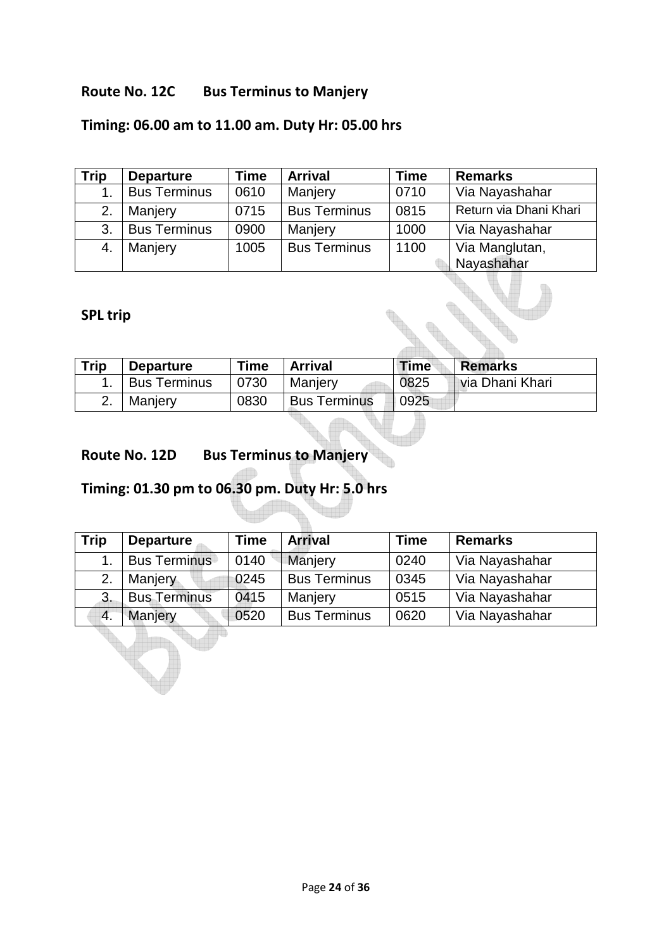#### **Route No. 12C Bus Terminus to Manjery**

## **Timing: 06.00 am to 11.00 am. Duty Hr: 05.00 hrs**

| Trip | <b>Departure</b>    | <b>Time</b> | <b>Arrival</b>      | <b>Time</b> | <b>Remarks</b>               |
|------|---------------------|-------------|---------------------|-------------|------------------------------|
| 1.   | <b>Bus Terminus</b> | 0610        | Manjery             | 0710        | Via Nayashahar               |
| 2.   | Manjery             | 0715        | <b>Bus Terminus</b> | 0815        | Return via Dhani Khari       |
| 3.   | <b>Bus Terminus</b> | 0900        | Manjery             | 1000        | Via Nayashahar               |
| 4.   | Manjery             | 1005        | <b>Bus Terminus</b> | 1100        | Via Manglutan,<br>Nayashahar |

#### **SPL trip**

| <b>Trip</b> | <b>Departure</b>    | <b>Time</b> | <b>Arrival</b>      | <b>Time</b> | <b>Remarks</b>  |
|-------------|---------------------|-------------|---------------------|-------------|-----------------|
|             | <b>Bus Terminus</b> | 0730        | Manierv             | 0825        | via Dhani Khari |
|             | Manjery             | 0830        | <b>Bus Terminus</b> | 0925        |                 |

### **Route No. 12D Bus Terminus to Manjery**

# **Timing: 01.30 pm to 06.30 pm. Duty Hr: 5.0 hrs**

| <b>Trip</b> | <b>Departure</b>    | <b>Time</b>    | <b>Arrival</b>      | Time | <b>Remarks</b> |
|-------------|---------------------|----------------|---------------------|------|----------------|
| 1.          | <b>Bus Terminus</b> | 0140           | Manjery             | 0240 | Via Nayashahar |
| 2.          | <b>Manjery</b>      | 0245           | <b>Bus Terminus</b> | 0345 | Via Nayashahar |
| 3.          | <b>Bus Terminus</b> | 0415           | Manjery             | 0515 | Via Nayashahar |
| 4.          | Manjery             | $ 0520\rangle$ | <b>Bus Terminus</b> | 0620 | Via Nayashahar |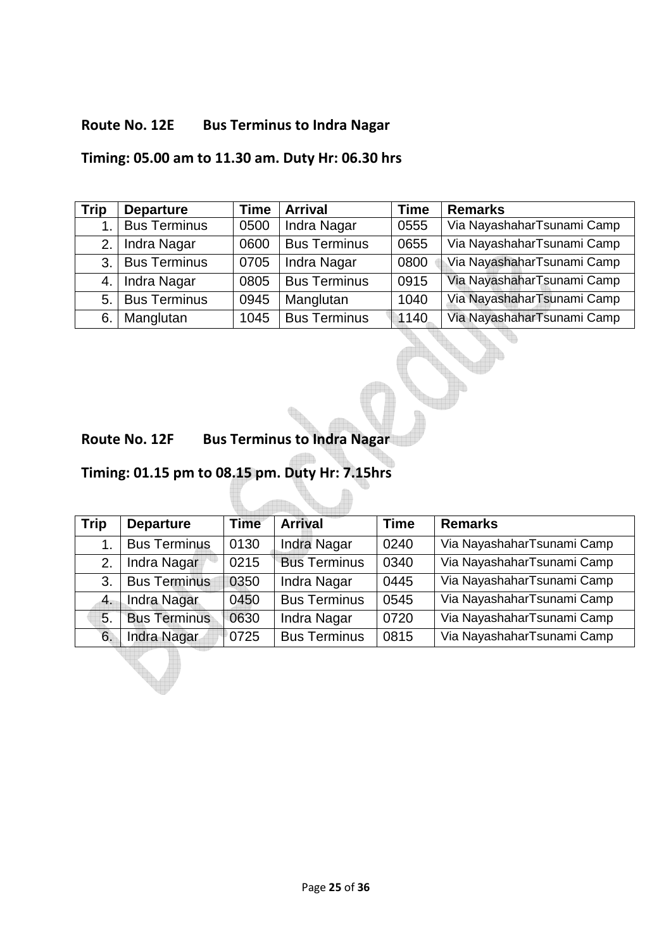### **Route No. 12E Bus Terminus to Indra Nagar**

### **Timing: 05.00 am to 11.30 am. Duty Hr: 06.30 hrs**

| <b>Trip</b> | <b>Departure</b>    | <b>Time</b> | <b>Arrival</b>      | Time | <b>Remarks</b>             |
|-------------|---------------------|-------------|---------------------|------|----------------------------|
|             | <b>Bus Terminus</b> | 0500        | Indra Nagar         | 0555 | Via NayashaharTsunami Camp |
| 2.1         | Indra Nagar         | 0600        | <b>Bus Terminus</b> | 0655 | Via NayashaharTsunami Camp |
| 3.          | <b>Bus Terminus</b> | 0705        | Indra Nagar         | 0800 | Via NayashaharTsunami Camp |
| 4.          | Indra Nagar         | 0805        | <b>Bus Terminus</b> | 0915 | Via NayashaharTsunami Camp |
| 5.          | <b>Bus Terminus</b> | 0945        | Manglutan           | 1040 | Via NayashaharTsunami Camp |
| 6.          | Manglutan           | 1045        | <b>Bus Terminus</b> | 1140 | Via NayashaharTsunami Camp |

#### **Route No. 12F Bus Terminus to Indra Nagar**

## **Timing: 01.15 pm to 08.15 pm. Duty Hr: 7.15hrs**

| <b>Trip</b> | <b>Departure</b>    | <b>Time</b> | <b>Arrival</b>      | <b>Time</b> | <b>Remarks</b>             |
|-------------|---------------------|-------------|---------------------|-------------|----------------------------|
|             | <b>Bus Terminus</b> | 0130        | Indra Nagar         | 0240        | Via NayashaharTsunami Camp |
| 2.          | Indra Nagar         | 0215        | <b>Bus Terminus</b> | 0340        | Via NayashaharTsunami Camp |
| 3.          | <b>Bus Terminus</b> | 0350        | Indra Nagar         | 0445        | Via NayashaharTsunami Camp |
| 4.          | <b>Indra Nagar</b>  | 0450        | <b>Bus Terminus</b> | 0545        | Via NayashaharTsunami Camp |
| 5.          | <b>Bus Terminus</b> | 0630        | Indra Nagar         | 0720        | Via NayashaharTsunami Camp |
| 6.          | Indra Nagar         | 0725        | <b>Bus Terminus</b> | 0815        | Via NayashaharTsunami Camp |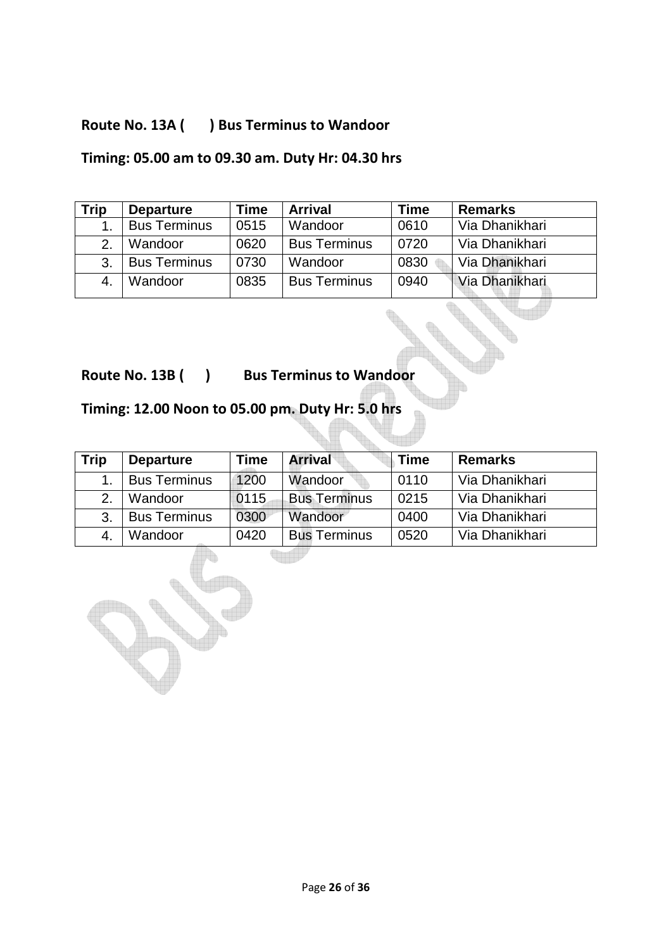### **Route No. 13A ( ) Bus Terminus to Wandoor**

### **Timing: 05.00 am to 09.30 am. Duty Hr: 04.30 hrs**

| Trip         | <b>Departure</b>    | Time | <b>Arrival</b>      | Time | <b>Remarks</b> |
|--------------|---------------------|------|---------------------|------|----------------|
|              | <b>Bus Terminus</b> | 0515 | Wandoor             | 0610 | Via Dhanikhari |
| 2.           | Wandoor             | 0620 | <b>Bus Terminus</b> | 0720 | Via Dhanikhari |
| 3.           | <b>Bus Terminus</b> | 0730 | Wandoor             | 0830 | Via Dhanikhari |
| $\mathbf{4}$ | Wandoor             | 0835 | <b>Bus Terminus</b> | 0940 | Via Dhanikhari |

**Route No. 13B ( ) Bus Terminus to Wandoor** 

## **Timing: 12.00 Noon to 05.00 pm. Duty Hr: 5.0 hrs**

| <b>Trip</b> | <b>Departure</b>    | Time | <b>Arrival</b>      | <b>Time</b> | <b>Remarks</b> |
|-------------|---------------------|------|---------------------|-------------|----------------|
|             | <b>Bus Terminus</b> | 1200 | Wandoor             | 0110        | Via Dhanikhari |
| 2.          | Wandoor             | 0115 | <b>Bus Terminus</b> | 0215        | Via Dhanikhari |
| 3.          | <b>Bus Terminus</b> | 0300 | Wandoor             | 0400        | Via Dhanikhari |
| -4.         | Wandoor             | 0420 | <b>Bus Terminus</b> | 0520        | Via Dhanikhari |

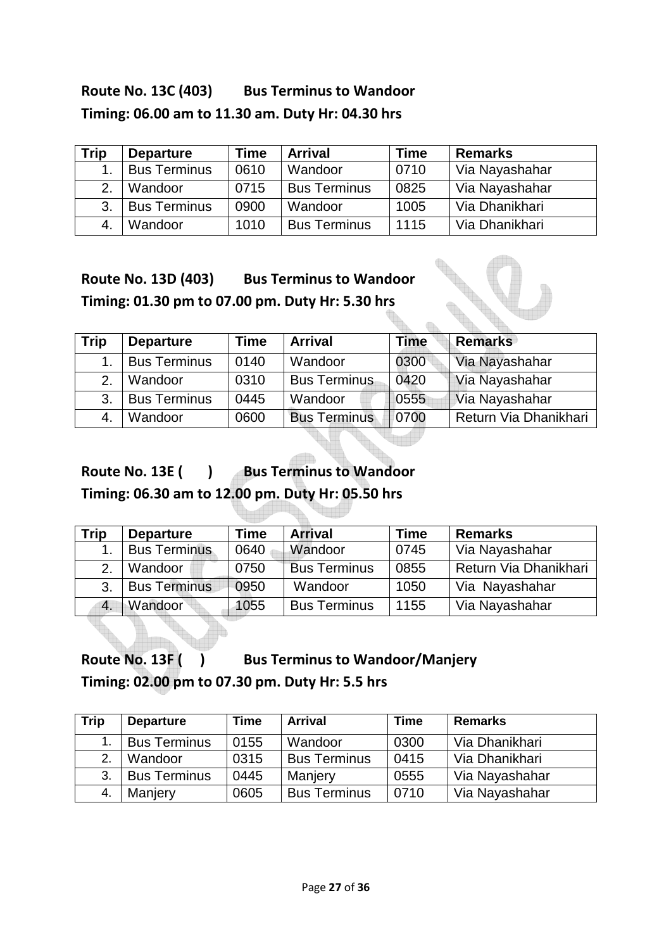## Route No. 13C (403) Bus Terminus to Wandoor **Timing: 06.00 am to 11.30 am. Duty Hr: 04.30 hrs**

| <b>Trip</b> | <b>Departure</b>    | <b>Time</b> | <b>Arrival</b>      | <b>Time</b> | <b>Remarks</b> |
|-------------|---------------------|-------------|---------------------|-------------|----------------|
|             | <b>Bus Terminus</b> | 0610        | Wandoor             | 0710        | Via Nayashahar |
| 2.          | Wandoor             | 0715        | <b>Bus Terminus</b> | 0825        | Via Nayashahar |
| 3.          | <b>Bus Terminus</b> | 0900        | Wandoor             | 1005        | Via Dhanikhari |
|             | Wandoor             | 1010        | <b>Bus Terminus</b> | 1115        | Via Dhanikhari |

**Route No. 13D (403) Bus Terminus to Wandoor Timing: 01.30 pm to 07.00 pm. Duty Hr: 5.30 hrs** 

| <b>Trip</b> | <b>Departure</b>    | Time | <b>Arrival</b>      | Time | <b>Remarks</b>        |
|-------------|---------------------|------|---------------------|------|-----------------------|
|             | <b>Bus Terminus</b> | 0140 | Wandoor             | 0300 | Via Nayashahar        |
|             | Wandoor             | 0310 | <b>Bus Terminus</b> | 0420 | Via Nayashahar        |
| 3.          | <b>Bus Terminus</b> | 0445 | Wandoor             | 0555 | Via Nayashahar        |
|             | Wandoor             | 0600 | <b>Bus Terminus</b> | 0700 | Return Via Dhanikhari |

Route No. 13E ( ) Bus Terminus to Wandoor

**Timing: 06.30 am to 12.00 pm. Duty Hr: 05.50 hrs** 

| Trip | <b>Departure</b>    | Time | <b>Arrival</b>      | Time | <b>Remarks</b>        |
|------|---------------------|------|---------------------|------|-----------------------|
|      | <b>Bus Terminus</b> | 0640 | Wandoor             | 0745 | Via Nayashahar        |
|      | Wandoor             | 0750 | <b>Bus Terminus</b> | 0855 | Return Via Dhanikhari |
| 3.   | <b>Bus Terminus</b> | 0950 | Wandoor             | 1050 | Via Nayashahar        |
| 4.   | Wandoor             | 1055 | <b>Bus Terminus</b> | 1155 | Via Nayashahar        |

Route No. 13F ( ) Bus Terminus to Wandoor/Manjery **Timing: 02.00 pm to 07.30 pm. Duty Hr: 5.5 hrs** 

| <b>Trip</b> | <b>Departure</b>    | Time | <b>Arrival</b>      | Time | <b>Remarks</b> |
|-------------|---------------------|------|---------------------|------|----------------|
|             | <b>Bus Terminus</b> | 0155 | Wandoor             | 0300 | Via Dhanikhari |
| 2.          | Wandoor             | 0315 | <b>Bus Terminus</b> | 0415 | Via Dhanikhari |
| 3.          | <b>Bus Terminus</b> | 0445 | Manjery             | 0555 | Via Nayashahar |
| 4.          | Manjery             | 0605 | <b>Bus Terminus</b> | 0710 | Via Nayashahar |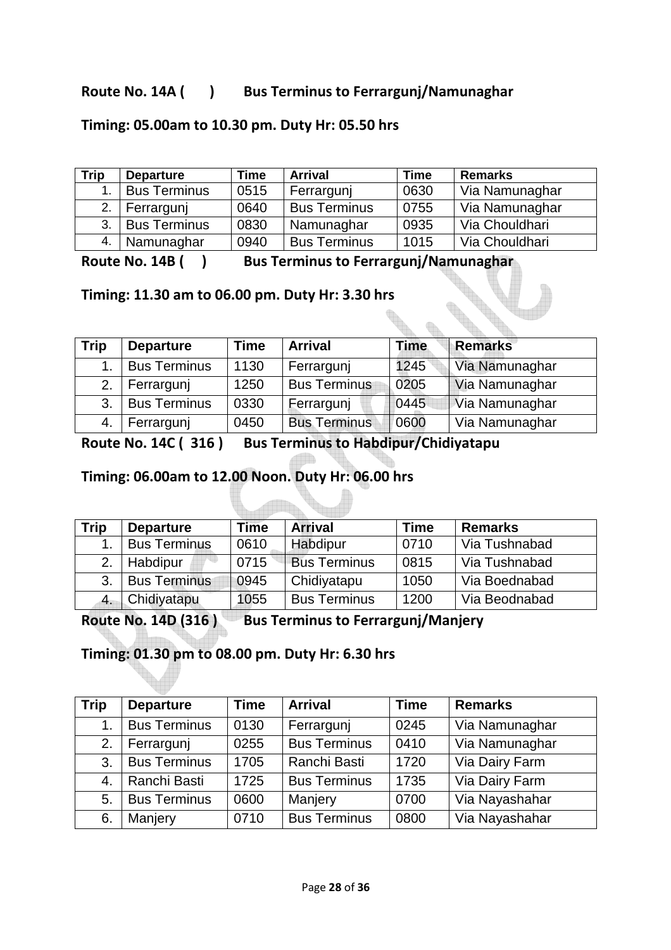#### Route No. 14A ( ) Bus Terminus to Ferrargunj/Namunaghar

#### **Timing: 05.00am to 10.30 pm. Duty Hr: 05.50 hrs**

| Trip | <b>Departure</b>    | <b>Time</b> | <b>Arrival</b>      | <b>Time</b> | <b>Remarks</b> |
|------|---------------------|-------------|---------------------|-------------|----------------|
|      | <b>Bus Terminus</b> | 0515        | Ferrargunj          | 0630        | Via Namunaghar |
| 2.   | Ferrargunj          | 0640        | <b>Bus Terminus</b> | 0755        | Via Namunaghar |
| 3.   | <b>Bus Terminus</b> | 0830        | Namunaghar          | 0935        | Via Chouldhari |
|      | <b>Namunaghar</b>   | 0940        | <b>Bus Terminus</b> | 1015        | Via Chouldhari |

Route No. 14B ( ) Bus Terminus to Ferrargunj/Namunaghar

#### **Timing: 11.30 am to 06.00 pm. Duty Hr: 3.30 hrs**

| <b>Trip</b> | <b>Departure</b>    | <b>Time</b> | <b>Arrival</b>      | <b>Time</b> | <b>Remarks</b> |
|-------------|---------------------|-------------|---------------------|-------------|----------------|
|             | <b>Bus Terminus</b> | 1130        | Ferrargunj          | 1245        | Via Namunaghar |
| 2.          | Ferrargunj          | 1250        | <b>Bus Terminus</b> | 0205        | Via Namunaghar |
| 3.          | <b>Bus Terminus</b> | 0330        | Ferrargunj          | 0445        | Via Namunaghar |
|             | Ferrargunj          | 0450        | <b>Bus Terminus</b> | 10600       | Via Namunaghar |

**Route No. 14C ( 316 ) Bus Terminus to Habdipur/Chidiyatapu** 

di In

#### **Timing: 06.00am to 12.00 Noon. Duty Hr: 06.00 hrs**

| Trip | <b>Departure</b>    | Time | <b>Arrival</b>      | Time | <b>Remarks</b> |
|------|---------------------|------|---------------------|------|----------------|
|      | <b>Bus Terminus</b> | 0610 | Habdipur            | 0710 | Via Tushnabad  |
| 2.   | Habdipur            | 0715 | <b>Bus Terminus</b> | 0815 | Via Tushnabad  |
| 3.   | <b>Bus Terminus</b> | 0945 | Chidiyatapu         | 1050 | Via Boednabad  |
|      | Chidiyatapu         | 1055 | <b>Bus Terminus</b> | 1200 | Via Beodnabad  |

Route No. 14D (316) Bus Terminus to Ferrargunj/Manjery

### **Timing: 01.30 pm to 08.00 pm. Duty Hr: 6.30 hrs**

| <b>Trip</b> | <b>Departure</b>    | <b>Time</b> | <b>Arrival</b>      | <b>Time</b> | <b>Remarks</b> |
|-------------|---------------------|-------------|---------------------|-------------|----------------|
| 1.          | <b>Bus Terminus</b> | 0130        | Ferrargunj          | 0245        | Via Namunaghar |
| 2.          | Ferrargunj          | 0255        | <b>Bus Terminus</b> | 0410        | Via Namunaghar |
| 3.          | <b>Bus Terminus</b> | 1705        | Ranchi Basti        | 1720        | Via Dairy Farm |
| 4.          | Ranchi Basti        | 1725        | <b>Bus Terminus</b> | 1735        | Via Dairy Farm |
| 5.          | <b>Bus Terminus</b> | 0600        | Manjery             | 0700        | Via Nayashahar |
| 6.          | Manjery             | 0710        | <b>Bus Terminus</b> | 0800        | Via Nayashahar |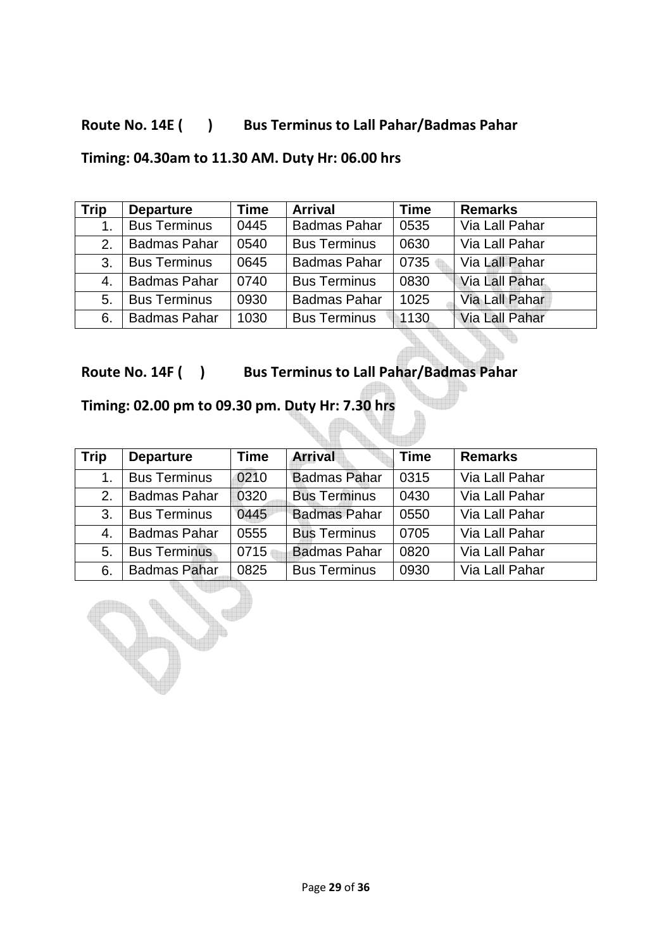### Route No. 14E ( ) Bus Terminus to Lall Pahar/Badmas Pahar

### **Timing: 04.30am to 11.30 AM. Duty Hr: 06.00 hrs**

| <b>Trip</b> | <b>Departure</b>    | Time | <b>Arrival</b>      | <b>Time</b> | <b>Remarks</b>        |
|-------------|---------------------|------|---------------------|-------------|-----------------------|
| 1.          | <b>Bus Terminus</b> | 0445 | <b>Badmas Pahar</b> | 0535        | Via Lall Pahar        |
| 2.          | <b>Badmas Pahar</b> | 0540 | <b>Bus Terminus</b> | 0630        | Via Lall Pahar        |
| 3.          | <b>Bus Terminus</b> | 0645 | <b>Badmas Pahar</b> | 0735        | Via Lall Pahar        |
| 4.          | <b>Badmas Pahar</b> | 0740 | <b>Bus Terminus</b> | 0830        | Via Lall Pahar        |
| 5.          | <b>Bus Terminus</b> | 0930 | <b>Badmas Pahar</b> | 1025        | <b>Via Lall Pahar</b> |
| 6.          | <b>Badmas Pahar</b> | 1030 | <b>Bus Terminus</b> | 1130        | Via Lall Pahar        |

**Route No. 14F ( ) Bus Terminus to Lall Pahar/Badmas Pahar** 

## **Timing: 02.00 pm to 09.30 pm. Duty Hr: 7.30 hrs**

| <b>Trip</b> | <b>Departure</b>    | Time | <b>Arrival</b>      | <b>Time</b> | <b>Remarks</b> |
|-------------|---------------------|------|---------------------|-------------|----------------|
| 1.          | <b>Bus Terminus</b> | 0210 | <b>Badmas Pahar</b> | 0315        | Via Lall Pahar |
| 2.          | <b>Badmas Pahar</b> | 0320 | <b>Bus Terminus</b> | 0430        | Via Lall Pahar |
| 3.          | <b>Bus Terminus</b> | 0445 | <b>Badmas Pahar</b> | 0550        | Via Lall Pahar |
| 4.          | <b>Badmas Pahar</b> | 0555 | <b>Bus Terminus</b> | 0705        | Via Lall Pahar |
| 5.          | <b>Bus Terminus</b> | 0715 | <b>Badmas Pahar</b> | 0820        | Via Lall Pahar |
| 6.          | <b>Badmas Pahar</b> | 0825 | <b>Bus Terminus</b> | 0930        | Via Lall Pahar |

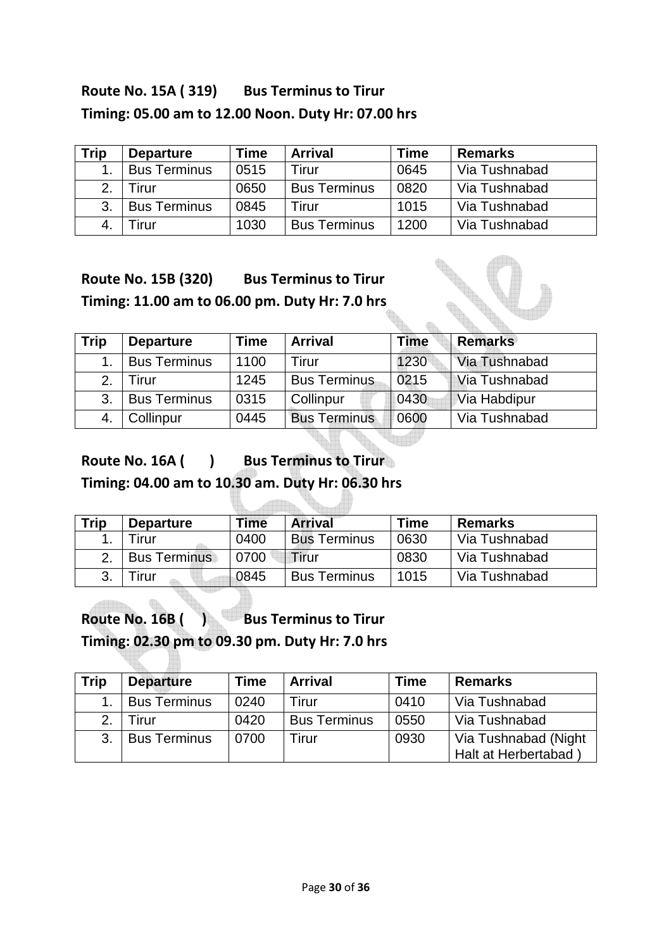## **Route No. 15A ( 319) Bus Terminus to Tirur Timing: 05.00 am to 12.00 Noon. Duty Hr: 07.00 hrs**

| <b>Trip</b>    | <b>Departure</b>    | Time | <b>Arrival</b>      | <b>Time</b> | <b>Remarks</b> |
|----------------|---------------------|------|---------------------|-------------|----------------|
|                | <b>Bus Terminus</b> | 0515 | Firur               | 0645        | Via Tushnabad  |
| 2.             | Tirur               | 0650 | <b>Bus Terminus</b> | 0820        | Via Tushnabad  |
| 3.             | <b>Bus Terminus</b> | 0845 | Tirur               | 1015        | Via Tushnabad  |
| $\overline{4}$ | Tirur               | 1030 | <b>Bus Terminus</b> | 1200        | Via Tushnabad  |

## **Route No. 15B (320) Bus Terminus to Tirur Timing: 11.00 am to 06.00 pm. Duty Hr: 7.0 hrs**

| <b>Trip</b> | <b>Departure</b>    | <b>Time</b> | <b>Arrival</b>      | Time | <b>Remarks</b> |
|-------------|---------------------|-------------|---------------------|------|----------------|
|             | <b>Bus Terminus</b> | 1100        | Tirur               | 1230 | Via Tushnabad  |
| 2.          | Firur               | 1245        | <b>Bus Terminus</b> | 0215 | Via Tushnabad  |
| 3.          | <b>Bus Terminus</b> | 0315        | Collinpur           | 0430 | Via Habdipur   |
| 4.          | Collinpur           | 0445        | <b>Bus Terminus</b> | 0600 | Via Tushnabad  |

# Route No. 16A ( ) Bus Terminus to Tirur

**Timing: 04.00 am to 10.30 am. Duty Hr: 06.30 hrs** 

<u>addinin</u>

| <b>Trip</b> | <b>Departure</b>    | Time | <b>Arrival</b>      | <b>Time</b> | <b>Remarks</b> |
|-------------|---------------------|------|---------------------|-------------|----------------|
|             | <b>Tirur</b>        | 0400 | <b>Bus Terminus</b> | 0630        | Via Tushnabad  |
|             | <b>Bus Terminus</b> | 0700 | Tirur               | 0830        | Via Tushnabad  |
|             | irur                | 0845 | <b>Bus Terminus</b> | 1015        | Via Tushnabad  |

Route No. 16B ( ) Bus Terminus to Tirur **Timing: 02.30 pm to 09.30 pm. Duty Hr: 7.0 hrs** 

| <b>Trip</b> | <b>Departure</b>    | Time | <b>Arrival</b>      | <b>Time</b> | <b>Remarks</b>                              |
|-------------|---------------------|------|---------------------|-------------|---------------------------------------------|
|             | <b>Bus Terminus</b> | 0240 | Tirur               | 0410        | Via Tushnabad                               |
| 2.          | -irur               | 0420 | <b>Bus Terminus</b> | 0550        | Via Tushnabad                               |
| 3.          | <b>Bus Terminus</b> | 0700 | Tirur               | 0930        | Via Tushnabad (Night<br>Halt at Herbertabad |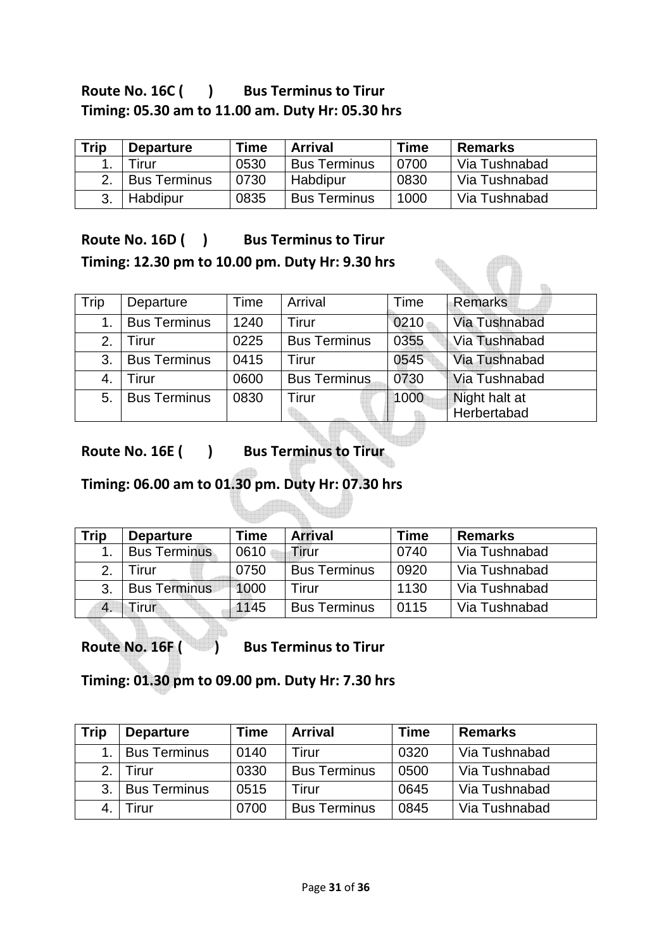### Route No. 16C ( ) Bus Terminus to Tirur **Timing: 05.30 am to 11.00 am. Duty Hr: 05.30 hrs**

| Trip | <b>Departure</b>    | <b>Time</b> | <b>Arrival</b>      | <b>Time</b> | <b>Remarks</b> |
|------|---------------------|-------------|---------------------|-------------|----------------|
|      | Tirur               | 0530        | <b>Bus Terminus</b> | 0700        | Via Tushnabad  |
|      | <b>Bus Terminus</b> | 0730        | Habdipur            | 0830        | Via Tushnabad  |
|      | Habdipur            | 0835        | <b>Bus Terminus</b> | 1000        | Via Tushnabad  |

### Route No. 16D ( ) Bus Terminus to Tirur **Timing: 12.30 pm to 10.00 pm. Duty Hr: 9.30 hrs**

| Trip | Departure           | Time | Arrival             | Time | <b>Remarks</b> |
|------|---------------------|------|---------------------|------|----------------|
| 1.   | <b>Bus Terminus</b> | 1240 | Tirur               | 0210 | Via Tushnabad  |
| 2.   | Tirur               | 0225 | <b>Bus Terminus</b> | 0355 | Via Tushnabad  |
| 3.   | <b>Bus Terminus</b> | 0415 | Tirur               | 0545 | Via Tushnabad  |
| 4.   | Tirur               | 0600 | <b>Bus Terminus</b> | 0730 | Via Tushnabad  |
| 5.   | <b>Bus Terminus</b> | 0830 | Tirur               | 1000 | Night halt at  |
|      |                     |      |                     |      | Herbertabad    |

Route No. 16E ( ) Bus Terminus to Tirur

### **Timing: 06.00 am to 01.30 pm. Duty Hr: 07.30 hrs**

| Trip | <b>Departure</b>    | <b>Time</b> | <b>Arrival</b>      | Time | <b>Remarks</b> |
|------|---------------------|-------------|---------------------|------|----------------|
|      | <b>Bus Terminus</b> | 0610        | Tirur               | 0740 | Via Tushnabad  |
| 2.   | Tirur               | 0750        | <b>Bus Terminus</b> | 0920 | Via Tushnabad  |
| 3.   | <b>Bus Terminus</b> | 1000        | Tirur               | 1130 | Via Tushnabad  |
|      | Tirur               | 1145        | <b>Bus Terminus</b> | 0115 | Via Tushnabad  |

Route No. 16F ( ) Bus Terminus to Tirur

**Timing: 01.30 pm to 09.00 pm. Duty Hr: 7.30 hrs** 

| <b>Trip</b> | <b>Departure</b>    | Time | <b>Arrival</b>      | Time | <b>Remarks</b> |
|-------------|---------------------|------|---------------------|------|----------------|
|             | <b>Bus Terminus</b> | 0140 | Tirur               | 0320 | Via Tushnabad  |
| 2.          | Tirur               | 0330 | <b>Bus Terminus</b> | 0500 | Via Tushnabad  |
| 3.          | <b>Bus Terminus</b> | 0515 | Tirur               | 0645 | Via Tushnabad  |
|             | Firur               | 0700 | <b>Bus Terminus</b> | 0845 | Via Tushnabad  |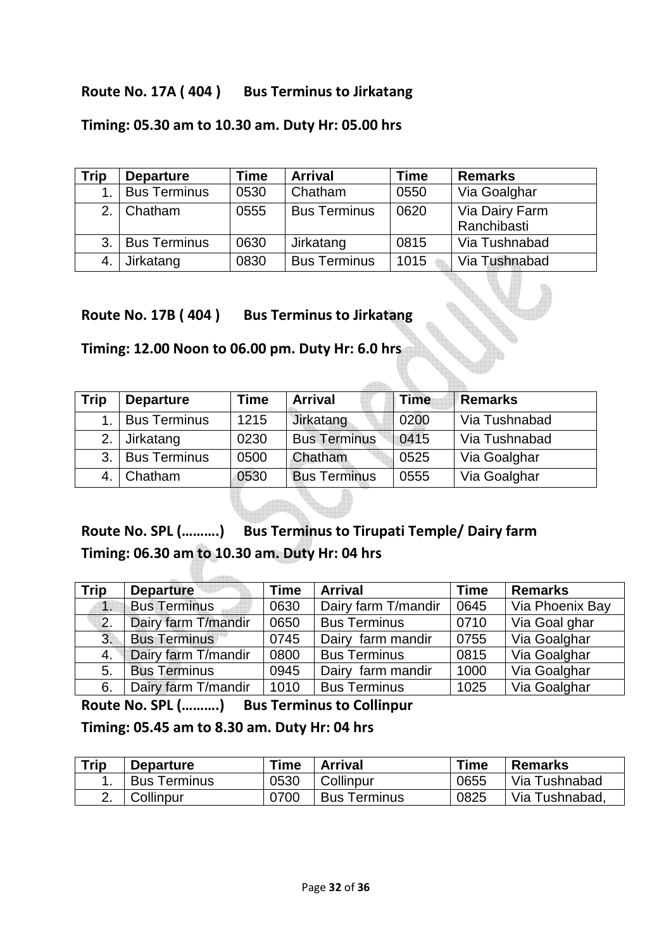#### **Route No. 17A ( 404 ) Bus Terminus to Jirkatang**

#### **Timing: 05.30 am to 10.30 am. Duty Hr: 05.00 hrs**

| Trip | <b>Departure</b>    | <b>Time</b> | <b>Arrival</b>      | <b>Time</b> | <b>Remarks</b> |
|------|---------------------|-------------|---------------------|-------------|----------------|
|      | <b>Bus Terminus</b> | 0530        | Chatham             | 0550        | Via Goalghar   |
|      | 2. Chatham          | 0555        | <b>Bus Terminus</b> | 0620        | Via Dairy Farm |
|      |                     |             |                     |             | Ranchibasti    |
| 3.1  | <b>Bus Terminus</b> | 0630        | Jirkatang           | 0815        | Via Tushnabad  |
|      | Jirkatang           | 0830        | <b>Bus Terminus</b> | 1015        | Via Tushnabad  |

**Route No. 17B ( 404 ) Bus Terminus to Jirkatang** 

#### **Timing: 12.00 Noon to 06.00 pm. Duty Hr: 6.0 hrs**

| <b>Trip</b> | <b>Departure</b>    | Time | <b>Arrival</b>      | <b>Time</b> | Remarks       |
|-------------|---------------------|------|---------------------|-------------|---------------|
|             | <b>Bus Terminus</b> | 1215 | Jirkatang           | 0200        | Via Tushnabad |
| 2.          | Jirkatang           | 0230 | <b>Bus Terminus</b> | 0415        | Via Tushnabad |
| 3.          | <b>Bus Terminus</b> | 0500 | Chatham             | 0525        | Via Goalghar  |
|             | Chatham             | 0530 | <b>Bus Terminus</b> | 0555        | Via Goalghar  |

## **Route No. SPL (……….) Bus Terminus to Tirupati Temple/ Dairy farm Timing: 06.30 am to 10.30 am. Duty Hr: 04 hrs**

| <b>Trip</b>   | <b>Departure</b>    | <b>Time</b> | <b>Arrival</b>      | <b>Time</b> | <b>Remarks</b>  |
|---------------|---------------------|-------------|---------------------|-------------|-----------------|
| $\mathbf 1$ . | <b>Bus Terminus</b> | 0630        | Dairy farm T/mandir | 0645        | Via Phoenix Bay |
| 2.            | Dairy farm T/mandir | 0650        | <b>Bus Terminus</b> | 0710        | Via Goal ghar   |
| 3.            | <b>Bus Terminus</b> | 0745        | Dairy farm mandir   | 0755        | Via Goalghar    |
| 4.            | Dairy farm T/mandir | 0800        | <b>Bus Terminus</b> | 0815        | Via Goalghar    |
| 5.            | <b>Bus Terminus</b> | 0945        | Dairy farm mandir   | 1000        | Via Goalghar    |
| 6.            | Dairy farm T/mandir | 1010        | <b>Bus Terminus</b> | 1025        | Via Goalghar    |

**Route No. SPL (……….) Bus Terminus to Collinpur Timing: 05.45 am to 8.30 am. Duty Hr: 04 hrs** 

| <b>Trip</b> | <b>Departure</b>    | Time | <b>Arrival</b>      | <b>Time</b> | <b>Remarks</b> |
|-------------|---------------------|------|---------------------|-------------|----------------|
| . .         | <b>Bus Terminus</b> | 0530 | Collinpur           | 0655        | Via Tushnabad  |
| ۷.          | Collinpur           | 0700 | <b>Bus Terminus</b> | 0825        | Via Tushnabad. |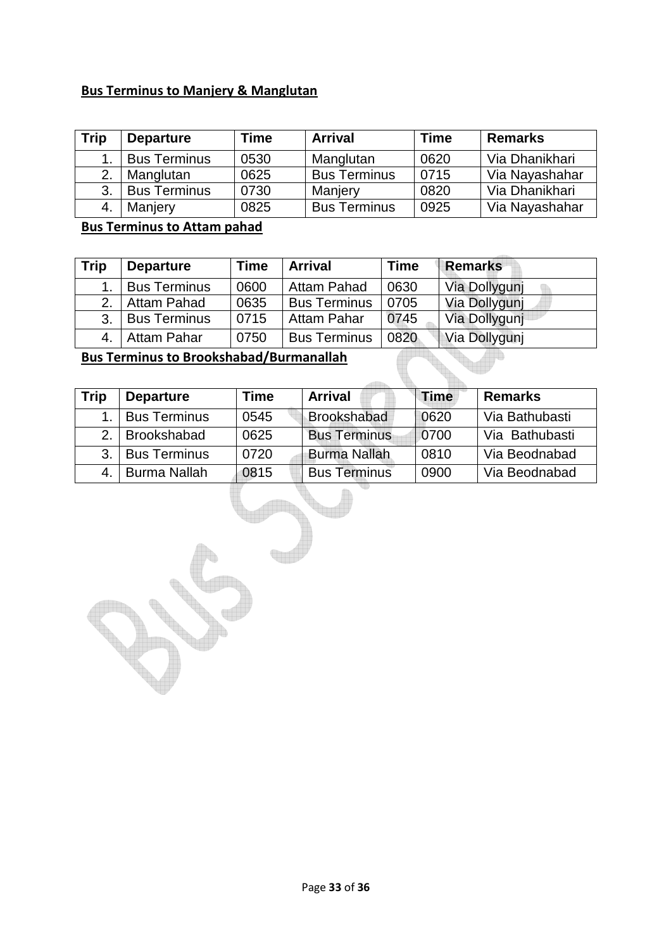#### **Bus Terminus to Manjery & Manglutan**

| Trip | <b>Departure</b>    | <b>Time</b> | <b>Arrival</b>      |      | <b>Remarks</b> |
|------|---------------------|-------------|---------------------|------|----------------|
|      | <b>Bus Terminus</b> | 0530        | Manglutan           | 0620 | Via Dhanikhari |
| 2.   | Manglutan           | 0625        | <b>Bus Terminus</b> | 0715 | Via Nayashahar |
| 3.   | <b>Bus Terminus</b> | 0730        | Manjery             | 0820 | Via Dhanikhari |
|      | Manjery             | 0825        | <b>Bus Terminus</b> | 0925 | Via Nayashahar |

#### **Bus Terminus to Attam pahad**

| <b>Trip</b> | <b>Departure</b>    | <b>Time</b> | <b>Arrival</b>      | <b>Time</b> | <b>Remarks</b> |
|-------------|---------------------|-------------|---------------------|-------------|----------------|
|             | <b>Bus Terminus</b> | 0600        | <b>Attam Pahad</b>  | 0630        | Via Dollygunj  |
| 2.          | Attam Pahad         | 0635        | <b>Bus Terminus</b> | 0705        | Via Dollygunj  |
| 3.1         | <b>Bus Terminus</b> | 0715        | <b>Attam Pahar</b>  | 0745        | Via Dollygunj  |
|             | Attam Pahar         | 0750        | <b>Bus Terminus</b> | 0820        | Via Dollygunj  |

### **Bus Terminus to Brookshabad/Burmanallah**

| <b>Trip</b> | <b>Departure</b>    | Time | <b>Arrival</b>      | <b>Time</b> | <b>Remarks</b> |
|-------------|---------------------|------|---------------------|-------------|----------------|
|             | <b>Bus Terminus</b> | 0545 | Brookshabad         | 0620        | Via Bathubasti |
| 2.          | <b>Brookshabad</b>  | 0625 | <b>Bus Terminus</b> | 0700        | Via Bathubasti |
| 3.          | <b>Bus Terminus</b> | 0720 | <b>Burma Nallah</b> | 0810        | Via Beodnabad  |
|             | <b>Burma Nallah</b> | 0815 | <b>Bus Terminus</b> | 0900        | Via Beodnabad  |

q<sub>ui</sub>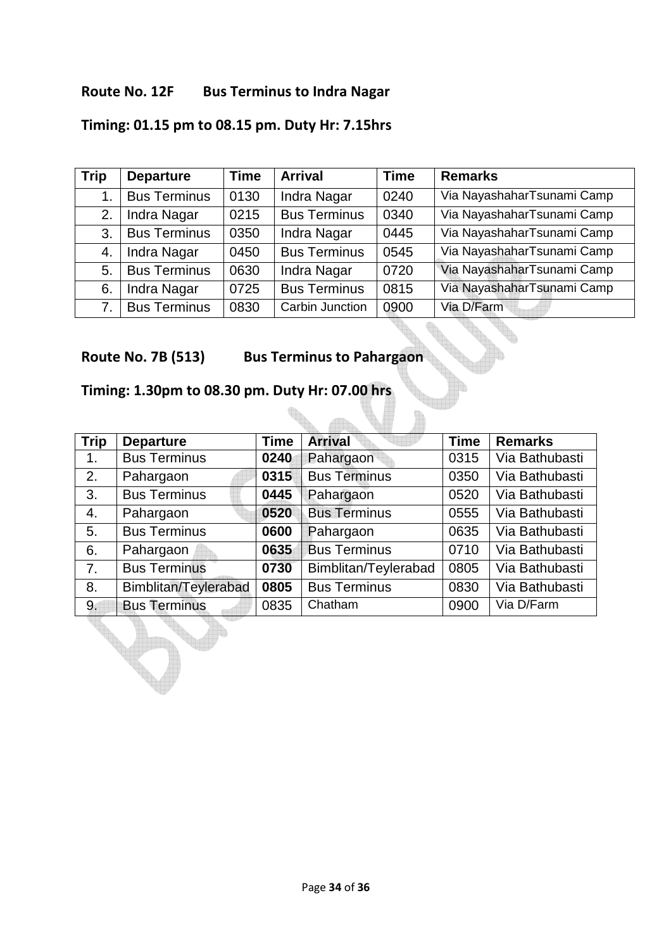#### **Route No. 12F Bus Terminus to Indra Nagar**

## **Timing: 01.15 pm to 08.15 pm. Duty Hr: 7.15hrs**

| <b>Trip</b> | <b>Departure</b>    | <b>Time</b> | <b>Arrival</b>      | <b>Time</b> | <b>Remarks</b>             |
|-------------|---------------------|-------------|---------------------|-------------|----------------------------|
|             | <b>Bus Terminus</b> | 0130        | Indra Nagar         | 0240        | Via NayashaharTsunami Camp |
| 2.          | Indra Nagar         | 0215        | <b>Bus Terminus</b> | 0340        | Via NayashaharTsunami Camp |
| 3.          | <b>Bus Terminus</b> | 0350        | Indra Nagar         | 0445        | Via NayashaharTsunami Camp |
| 4.          | Indra Nagar         | 0450        | <b>Bus Terminus</b> | 0545        | Via NayashaharTsunami Camp |
| 5.          | <b>Bus Terminus</b> | 0630        | Indra Nagar         | 0720        | Via NayashaharTsunami Camp |
| 6.          | Indra Nagar         | 0725        | <b>Bus Terminus</b> | 0815        | Via NayashaharTsunami Camp |
|             | <b>Bus Terminus</b> | 0830        | Carbin Junction     | 0900        | Via D/Farm                 |

**Route No. 7B (513) Bus Terminus to Pahargaon** 

dh.

**Timing: 1.30pm to 08.30 pm. Duty Hr: 07.00 hrs** 

| <b>Trip</b> | <b>Departure</b>     | <b>Time</b> | <b>Arrival</b>       | <b>Time</b> | <b>Remarks</b> |
|-------------|----------------------|-------------|----------------------|-------------|----------------|
| 1.          | <b>Bus Terminus</b>  | 0240        | Pahargaon            | 0315        | Via Bathubasti |
| 2.          | Pahargaon            | 0315        | <b>Bus Terminus</b>  | 0350        | Via Bathubasti |
| 3.          | <b>Bus Terminus</b>  | 0445        | Pahargaon            | 0520        | Via Bathubasti |
| 4.          | Pahargaon            | 0520        | <b>Bus Terminus</b>  | 0555        | Via Bathubasti |
| 5.          | <b>Bus Terminus</b>  | 0600        | Pahargaon            | 0635        | Via Bathubasti |
| 6.          | Pahargaon            | 0635        | <b>Bus Terminus</b>  | 0710        | Via Bathubasti |
| 7.          | <b>Bus Terminus</b>  | 0730        | Bimblitan/Teylerabad | 0805        | Via Bathubasti |
| 8.          | Bimblitan/Teylerabad | 0805        | <b>Bus Terminus</b>  | 0830        | Via Bathubasti |
| 9.          | <b>Bus Terminus</b>  | 0835        | Chatham              | 0900        | Via D/Farm     |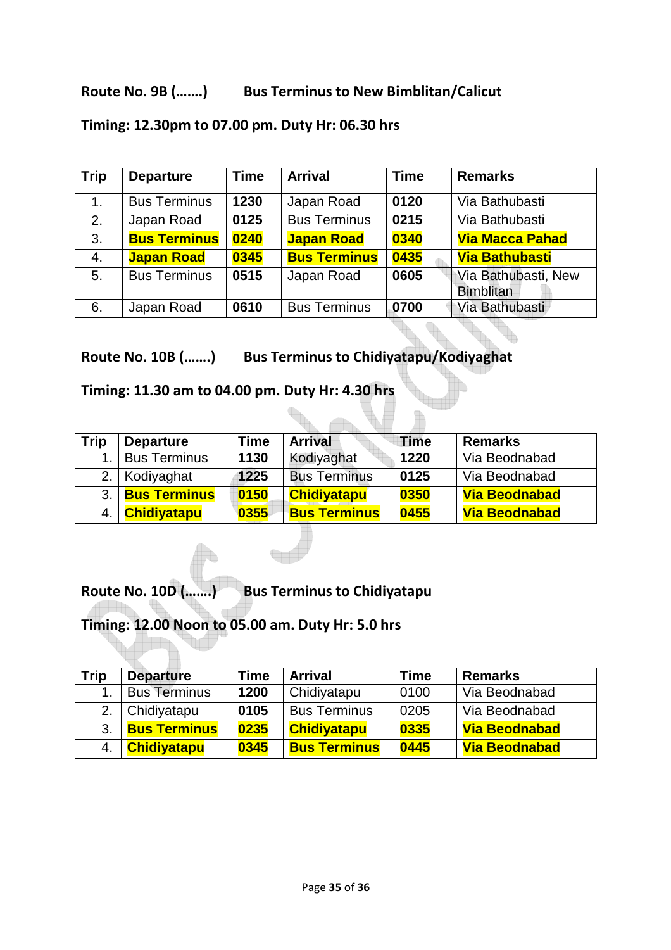#### **Route No. 9B (…….) Bus Terminus to New Bimblitan/Calicut**

| <b>Trip</b> | <b>Departure</b>    | <b>Time</b> | <b>Arrival</b>      | <b>Time</b> | <b>Remarks</b>                          |
|-------------|---------------------|-------------|---------------------|-------------|-----------------------------------------|
| 1.          | <b>Bus Terminus</b> | 1230        | Japan Road          | 0120        | Via Bathubasti                          |
| 2.          | Japan Road          | 0125        | <b>Bus Terminus</b> | 0215        | Via Bathubasti                          |
| 3.          | <b>Bus Terminus</b> | 0240        | <b>Japan Road</b>   | 0340        | <b>Via Macca Pahad</b>                  |
| 4.          | <b>Japan Road</b>   | 0345        | <b>Bus Terminus</b> | 0435        | <b>Via Bathubasti</b>                   |
| 5.          | <b>Bus Terminus</b> | 0515        | Japan Road          | 0605        | Via Bathubasti, New<br><b>Bimblitan</b> |
| 6.          | Japan Road          | 0610        | <b>Bus Terminus</b> | 0700        | Via Bathubasti                          |

#### **Timing: 12.30pm to 07.00 pm. Duty Hr: 06.30 hrs**

**Route No. 10B (…….) Bus Terminus to Chidiyatapu/Kodiyaghat** 

**Timing: 11.30 am to 04.00 pm. Duty Hr: 4.30 hrs** 

| <b>Trip</b> | <b>Departure</b>    | Time | <b>Arrival</b>      | <b>Time</b> | <b>Remarks</b>       |
|-------------|---------------------|------|---------------------|-------------|----------------------|
|             | <b>Bus Terminus</b> | 1130 | Kodiyaghat          | 1220        | Via Beodnabad        |
|             | 2. Kodiyaghat       | 1225 | <b>Bus Terminus</b> | 0125        | Via Beodnabad        |
| 3.1         | <b>Bus Terminus</b> | 0150 | <b>Chidiyatapu</b>  | 0350        | <b>Via Beodnabad</b> |
| 4.          | <b>Chidiyatapu</b>  | 0355 | <b>Bus Terminus</b> | 0455        | <b>Via Beodnabad</b> |

<u>Alba</u>

H

**Route No. 10D (…….) Bus Terminus to Chidiyatapu** 

# **Timing: 12.00 Noon to 05.00 am. Duty Hr: 5.0 hrs**

| Trip | <b>Departure</b>    | Time | <b>Arrival</b>      | Time | <b>Remarks</b>       |
|------|---------------------|------|---------------------|------|----------------------|
|      | <b>Bus Terminus</b> | 1200 | Chidiyatapu         | 0100 | Via Beodnabad        |
| 2.   | Chidiyatapu         | 0105 | <b>Bus Terminus</b> | 0205 | Via Beodnabad        |
| 3.   | <b>Bus Terminus</b> | 0235 | <b>Chidiyatapu</b>  | 0335 | <b>Via Beodnabad</b> |
|      | <b>Chidiyatapu</b>  | 0345 | <b>Bus Terminus</b> | 0445 | <b>Via Beodnabad</b> |